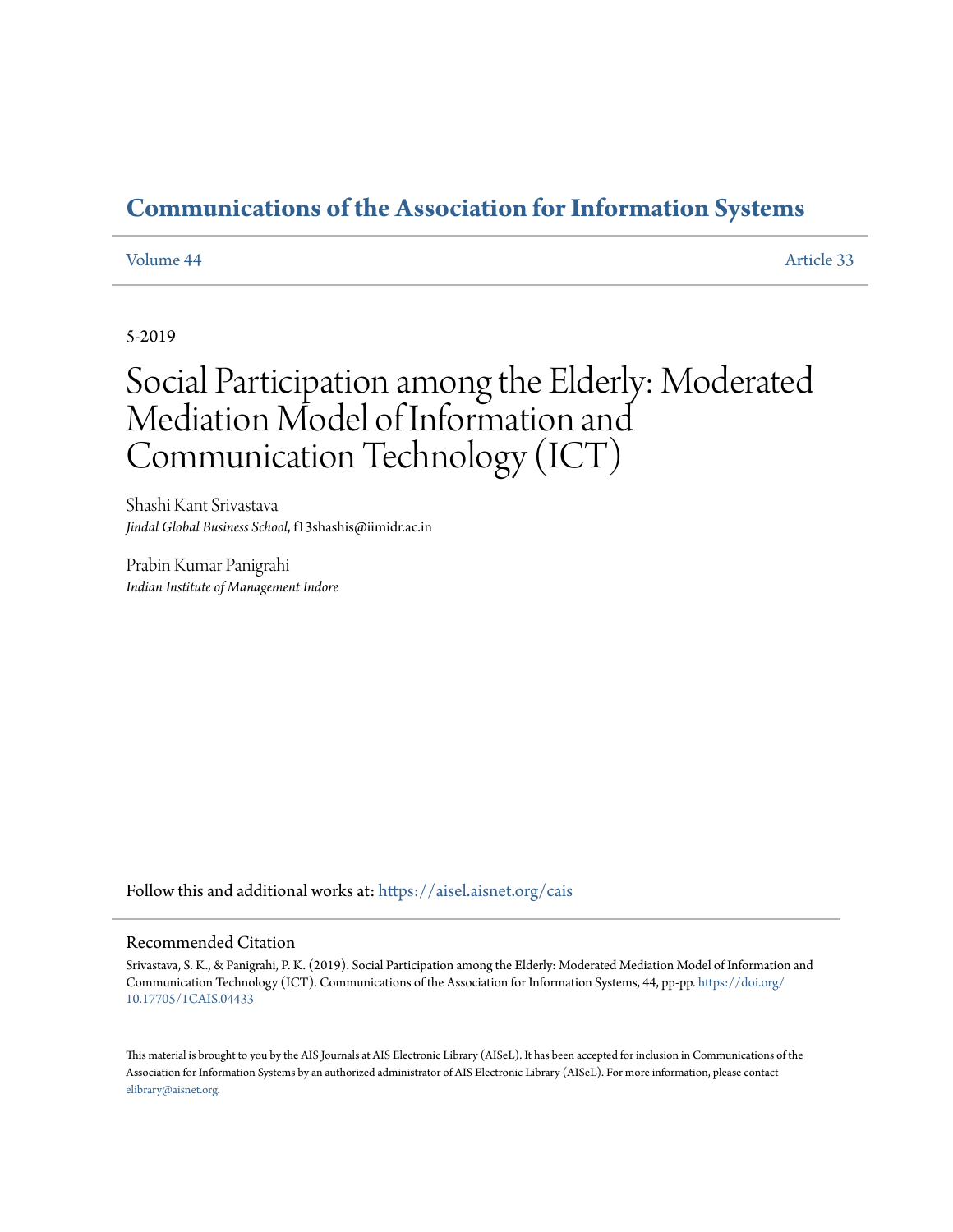## **[Communications of the Association for Information Systems](https://aisel.aisnet.org/cais?utm_source=aisel.aisnet.org%2Fcais%2Fvol44%2Fiss1%2F33&utm_medium=PDF&utm_campaign=PDFCoverPages)**

#### [Volume 44](https://aisel.aisnet.org/cais/vol44?utm_source=aisel.aisnet.org%2Fcais%2Fvol44%2Fiss1%2F33&utm_medium=PDF&utm_campaign=PDFCoverPages) [Article 33](https://aisel.aisnet.org/cais/vol44/iss1/33?utm_source=aisel.aisnet.org%2Fcais%2Fvol44%2Fiss1%2F33&utm_medium=PDF&utm_campaign=PDFCoverPages)

5-2019

# Social Participation among the Elderly: Moderated Mediation Model of Information and Communication Technology (ICT)

Shashi Kant Srivastava *Jindal Global Business School*, f13shashis@iimidr.ac.in

Prabin Kumar Panigrahi *Indian Institute of Management Indore*

Follow this and additional works at: [https://aisel.aisnet.org/cais](https://aisel.aisnet.org/cais?utm_source=aisel.aisnet.org%2Fcais%2Fvol44%2Fiss1%2F33&utm_medium=PDF&utm_campaign=PDFCoverPages)

#### Recommended Citation

Srivastava, S. K., & Panigrahi, P. K. (2019). Social Participation among the Elderly: Moderated Mediation Model of Information and Communication Technology (ICT). Communications of the Association for Information Systems, 44, pp-pp. [https://doi.org/](https://doi.org/10.17705/1CAIS.04433) [10.17705/1CAIS.04433](https://doi.org/10.17705/1CAIS.04433)

This material is brought to you by the AIS Journals at AIS Electronic Library (AISeL). It has been accepted for inclusion in Communications of the Association for Information Systems by an authorized administrator of AIS Electronic Library (AISeL). For more information, please contact [elibrary@aisnet.org.](mailto:elibrary@aisnet.org%3E)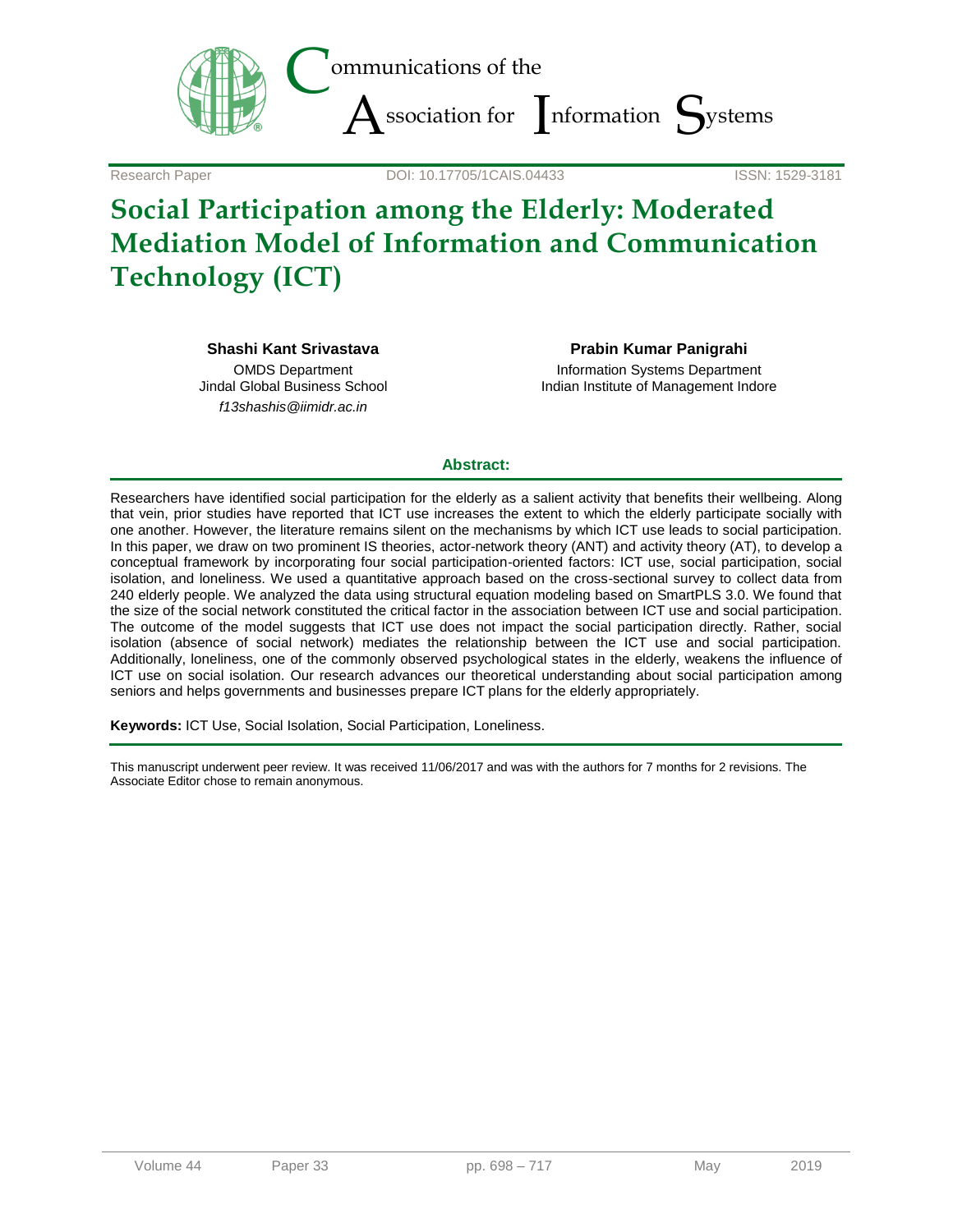

Research Paper **DOI:** 10.17705/1CAIS.04433

## **Social Participation among the Elderly: Moderated Mediation Model of Information and Communication Technology (ICT)**

**Shashi Kant Srivastava**

OMDS Department Jindal Global Business School *f13shashis@iimidr.ac.in*

**Prabin Kumar Panigrahi** Information Systems Department Indian Institute of Management Indore

#### **Abstract:**

Researchers have identified social participation for the elderly as a salient activity that benefits their wellbeing. Along that vein, prior studies have reported that ICT use increases the extent to which the elderly participate socially with one another. However, the literature remains silent on the mechanisms by which ICT use leads to social participation. In this paper, we draw on two prominent IS theories, actor-network theory (ANT) and activity theory (AT), to develop a conceptual framework by incorporating four social participation-oriented factors: ICT use, social participation, social isolation, and loneliness. We used a quantitative approach based on the cross-sectional survey to collect data from 240 elderly people. We analyzed the data using structural equation modeling based on SmartPLS 3.0. We found that the size of the social network constituted the critical factor in the association between ICT use and social participation. The outcome of the model suggests that ICT use does not impact the social participation directly. Rather, social isolation (absence of social network) mediates the relationship between the ICT use and social participation. Additionally, loneliness, one of the commonly observed psychological states in the elderly, weakens the influence of ICT use on social isolation. Our research advances our theoretical understanding about social participation among seniors and helps governments and businesses prepare ICT plans for the elderly appropriately.

**Keywords:** ICT Use, Social Isolation, Social Participation, Loneliness.

This manuscript underwent peer review. It was received 11/06/2017 and was with the authors for 7 months for 2 revisions. The Associate Editor chose to remain anonymous.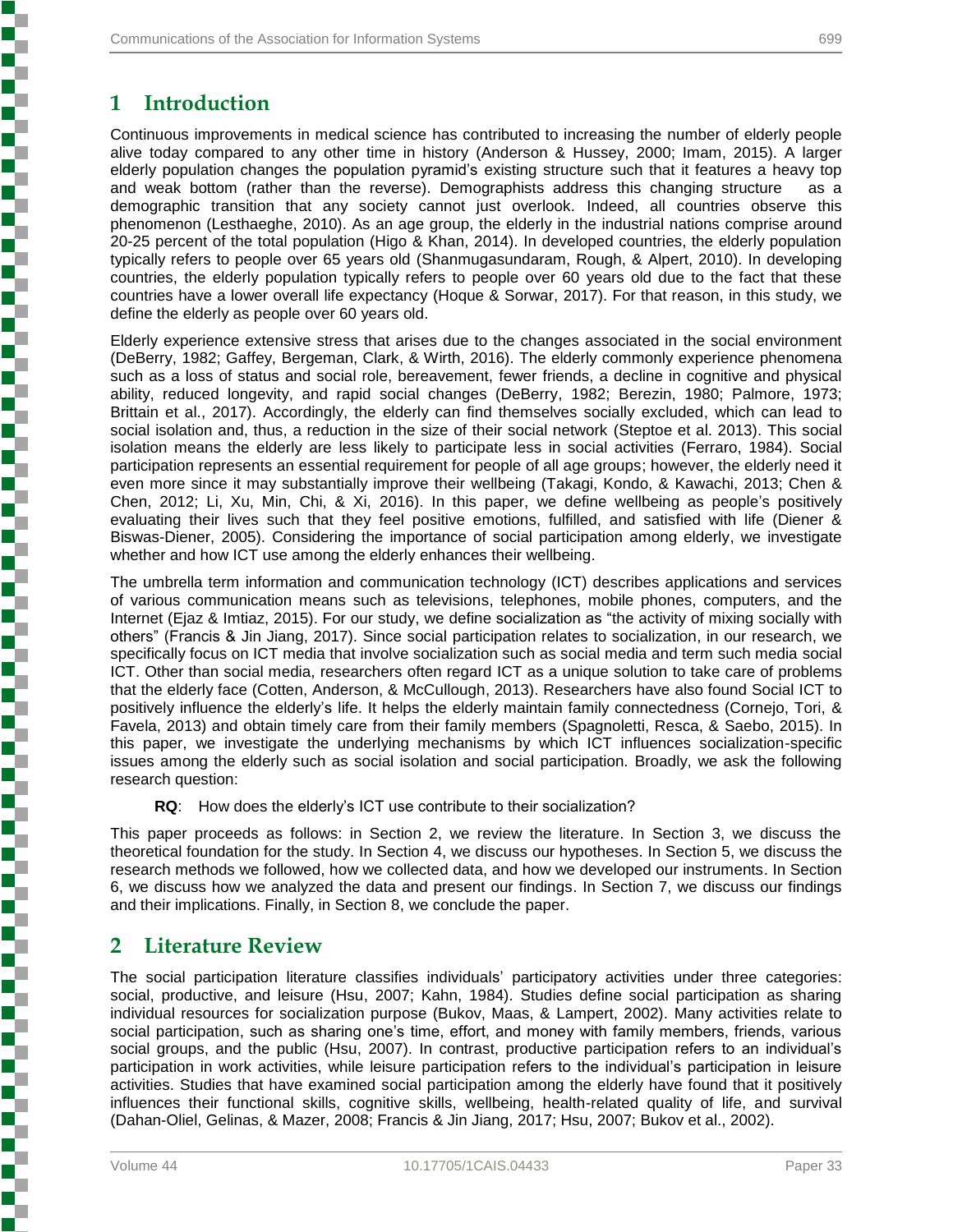## **1 Introduction**

Continuous improvements in medical science has contributed to increasing the number of elderly people alive today compared to any other time in history (Anderson & Hussey, 2000; Imam, 2015). A larger elderly population changes the population pyramid's existing structure such that it features a heavy top and weak bottom (rather than the reverse). Demographists address this changing structure as a demographic transition that any society cannot just overlook. Indeed, all countries observe this phenomenon (Lesthaeghe, 2010). As an age group, the elderly in the industrial nations comprise around 20-25 percent of the total population (Higo & Khan, 2014). In developed countries, the elderly population typically refers to people over 65 years old (Shanmugasundaram, Rough, & Alpert, 2010). In developing countries, the elderly population typically refers to people over 60 years old due to the fact that these countries have a lower overall life expectancy (Hoque & Sorwar, 2017). For that reason, in this study, we define the elderly as people over 60 years old.

Elderly experience extensive stress that arises due to the changes associated in the social environment (DeBerry, 1982; Gaffey, Bergeman, Clark, & Wirth, 2016). The elderly commonly experience phenomena such as a loss of status and social role, bereavement, fewer friends, a decline in cognitive and physical ability, reduced longevity, and rapid social changes (DeBerry, 1982; Berezin, 1980; Palmore, 1973; Brittain et al., 2017). Accordingly, the elderly can find themselves socially excluded, which can lead to social isolation and, thus, a reduction in the size of their social network (Steptoe et al. 2013). This social isolation means the elderly are less likely to participate less in social activities (Ferraro, 1984). Social participation represents an essential requirement for people of all age groups; however, the elderly need it even more since it may substantially improve their wellbeing (Takagi, Kondo, & Kawachi, 2013; Chen & Chen, 2012; Li, Xu, Min, Chi, & Xi, 2016). In this paper, we define wellbeing as people's positively evaluating their lives such that they feel positive emotions, fulfilled, and satisfied with life (Diener & Biswas-Diener, 2005). Considering the importance of social participation among elderly, we investigate whether and how ICT use among the elderly enhances their wellbeing.

The umbrella term information and communication technology (ICT) describes applications and services of various communication means such as televisions, telephones, mobile phones, computers, and the Internet (Ejaz & Imtiaz, 2015). For our study, we define socialization as "the activity of mixing socially with others" (Francis & Jin Jiang, 2017). Since social participation relates to socialization, in our research, we specifically focus on ICT media that involve socialization such as social media and term such media social ICT. Other than social media, researchers often regard ICT as a unique solution to take care of problems that the elderly face (Cotten, Anderson, & McCullough, 2013). Researchers have also found Social ICT to positively influence the elderly's life. It helps the elderly maintain family connectedness (Cornejo, Tori, & Favela, 2013) and obtain timely care from their family members (Spagnoletti, Resca, & Saebo, 2015). In this paper, we investigate the underlying mechanisms by which ICT influences socialization-specific issues among the elderly such as social isolation and social participation. Broadly, we ask the following research question:

**RQ**: How does the elderly's ICT use contribute to their socialization?

This paper proceeds as follows: in Section 2, we review the literature. In Section 3, we discuss the theoretical foundation for the study. In Section 4, we discuss our hypotheses. In Section 5, we discuss the research methods we followed, how we collected data, and how we developed our instruments. In Section 6, we discuss how we analyzed the data and present our findings. In Section 7, we discuss our findings and their implications. Finally, in Section 8, we conclude the paper.

## **2 Literature Review**

The social participation literature classifies individuals' participatory activities under three categories: social, productive, and leisure (Hsu, 2007; Kahn, 1984). Studies define social participation as sharing individual resources for socialization purpose (Bukov, Maas, & Lampert, 2002). Many activities relate to social participation, such as sharing one's time, effort, and money with family members, friends, various social groups, and the public (Hsu, 2007). In contrast, productive participation refers to an individual's participation in work activities, while leisure participation refers to the individual's participation in leisure activities. Studies that have examined social participation among the elderly have found that it positively influences their functional skills, cognitive skills, wellbeing, health-related quality of life, and survival (Dahan-Oliel, Gelinas, & Mazer, 2008; Francis & Jin Jiang, 2017; Hsu, 2007; Bukov et al., 2002).

**Experience in the property of the construction of the construction of the construction of the construction of the construction of the construction of the construction of the construction of the construction of the constru**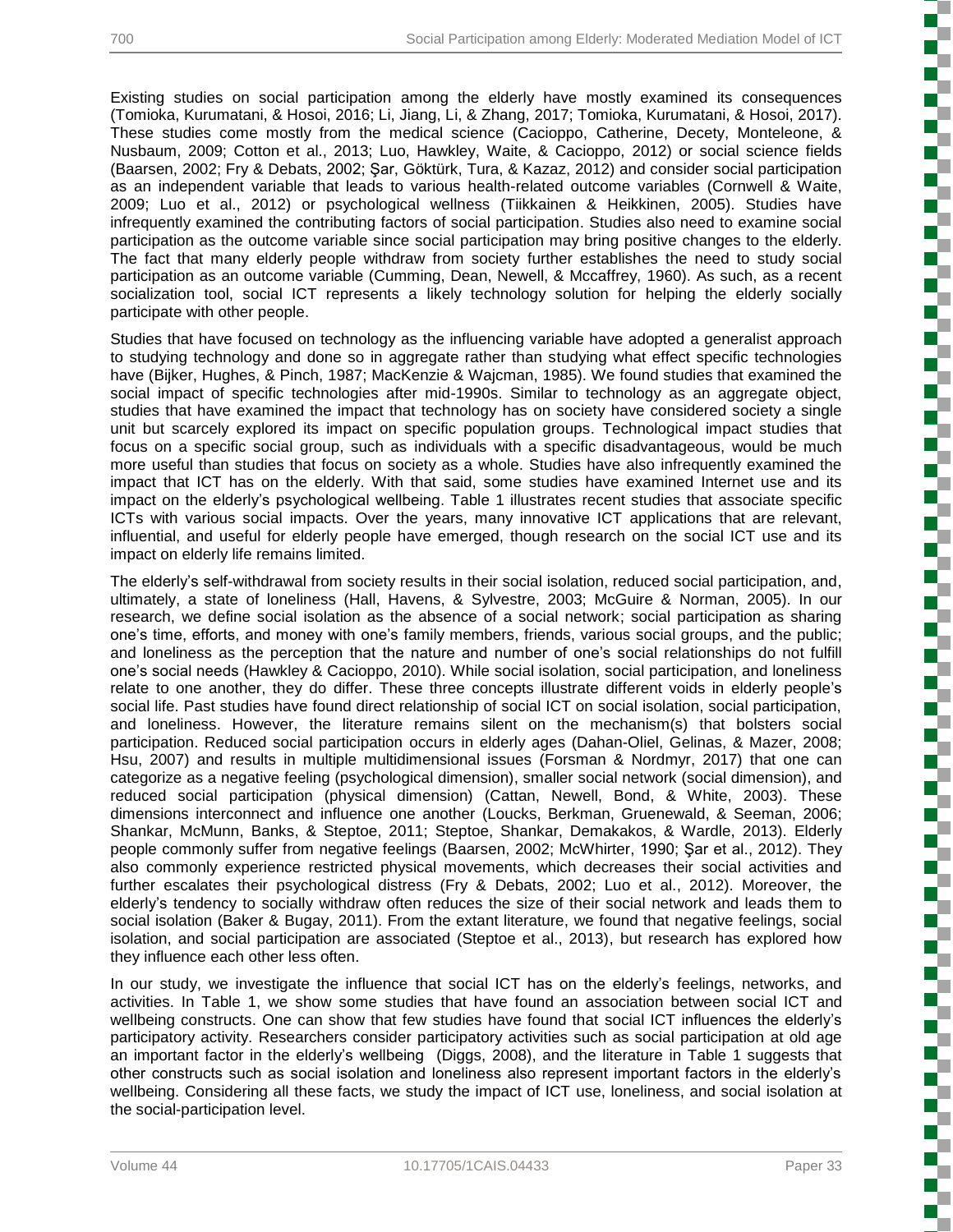Existing studies on social participation among the elderly have mostly examined its consequences (Tomioka, Kurumatani, & Hosoi, 2016; Li, Jiang, Li, & Zhang, 2017; Tomioka, Kurumatani, & Hosoi, 2017). These studies come mostly from the medical science (Cacioppo, Catherine, Decety, Monteleone, & Nusbaum, 2009; Cotton et al., 2013; Luo, Hawkley, Waite, & Cacioppo, 2012) or social science fields (Baarsen, 2002; Fry & Debats, 2002; Şar, Göktürk, Tura, & Kazaz, 2012) and consider social participation as an independent variable that leads to various health-related outcome variables (Cornwell & Waite, 2009; Luo et al., 2012) or psychological wellness (Tiikkainen & Heikkinen, 2005). Studies have infrequently examined the contributing factors of social participation. Studies also need to examine social participation as the outcome variable since social participation may bring positive changes to the elderly. The fact that many elderly people withdraw from society further establishes the need to study social participation as an outcome variable (Cumming, Dean, Newell, & Mccaffrey, 1960). As such, as a recent socialization tool, social ICT represents a likely technology solution for helping the elderly socially participate with other people.

Studies that have focused on technology as the influencing variable have adopted a generalist approach to studying technology and done so in aggregate rather than studying what effect specific technologies have (Bijker, Hughes, & Pinch, 1987; MacKenzie & Wajcman, 1985). We found studies that examined the social impact of specific technologies after mid-1990s. Similar to technology as an aggregate object, studies that have examined the impact that technology has on society have considered society a single unit but scarcely explored its impact on specific population groups. Technological impact studies that focus on a specific social group, such as individuals with a specific disadvantageous, would be much more useful than studies that focus on society as a whole. Studies have also infrequently examined the impact that ICT has on the elderly. With that said, some studies have examined Internet use and its impact on the elderly's psychological wellbeing. Table 1 illustrates recent studies that associate specific ICTs with various social impacts. Over the years, many innovative ICT applications that are relevant, influential, and useful for elderly people have emerged, though research on the social ICT use and its impact on elderly life remains limited.

The elderly's self-withdrawal from society results in their social isolation, reduced social participation, and, ultimately, a state of loneliness (Hall, Havens, & Sylvestre, 2003; McGuire & Norman, 2005). In our research, we define social isolation as the absence of a social network; social participation as sharing one's time, efforts, and money with one's family members, friends, various social groups, and the public; and loneliness as the perception that the nature and number of one's social relationships do not fulfill one's social needs (Hawkley & Cacioppo, 2010). While social isolation, social participation, and loneliness relate to one another, they do differ. These three concepts illustrate different voids in elderly people's social life. Past studies have found direct relationship of social ICT on social isolation, social participation, and loneliness. However, the literature remains silent on the mechanism(s) that bolsters social participation. Reduced social participation occurs in elderly ages (Dahan-Oliel, Gelinas, & Mazer, 2008; Hsu, 2007) and results in multiple multidimensional issues (Forsman & Nordmyr, 2017) that one can categorize as a negative feeling (psychological dimension), smaller social network (social dimension), and reduced social participation (physical dimension) (Cattan, Newell, Bond, & White, 2003). These dimensions interconnect and influence one another (Loucks, Berkman, Gruenewald, & Seeman, 2006; Shankar, McMunn, Banks, & Steptoe, 2011; Steptoe, Shankar, Demakakos, & Wardle, 2013). Elderly people commonly suffer from negative feelings (Baarsen, 2002; McWhirter, 1990; Şar et al., 2012). They also commonly experience restricted physical movements, which decreases their social activities and further escalates their psychological distress (Fry & Debats, 2002; Luo et al., 2012). Moreover, the elderly's tendency to socially withdraw often reduces the size of their social network and leads them to social isolation (Baker & Bugay, 2011). From the extant literature, we found that negative feelings, social isolation, and social participation are associated (Steptoe et al., 2013), but research has explored how they influence each other less often.

In our study, we investigate the influence that social ICT has on the elderly's feelings, networks, and activities. In Table 1, we show some studies that have found an association between social ICT and wellbeing constructs. One can show that few studies have found that social ICT influences the elderly's participatory activity. Researchers consider participatory activities such as social participation at old age an important factor in the elderly's wellbeing (Diggs, 2008), and the literature in Table 1 suggests that other constructs such as social isolation and loneliness also represent important factors in the elderly's wellbeing. Considering all these facts, we study the impact of ICT use, loneliness, and social isolation at the social-participation level.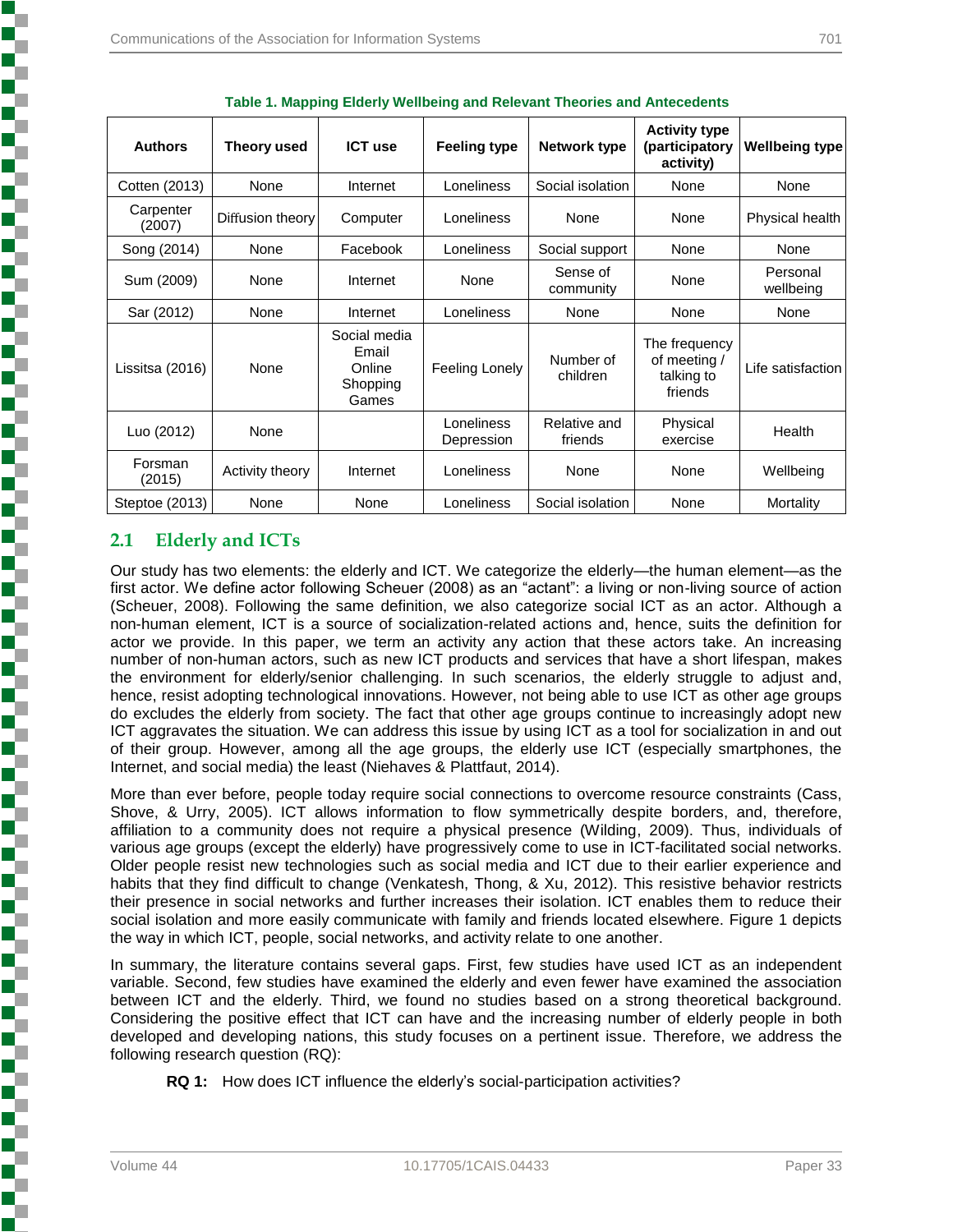| <b>Authors</b>      | Theory used      | <b>ICT use</b>                                       | <b>Feeling type</b>      | Network type            | <b>Activity type</b><br>(participatory<br>activity)    | <b>Wellbeing type</b> |
|---------------------|------------------|------------------------------------------------------|--------------------------|-------------------------|--------------------------------------------------------|-----------------------|
| Cotten (2013)       | None             | Internet                                             | Loneliness               | Social isolation        | None                                                   | None                  |
| Carpenter<br>(2007) | Diffusion theory | Computer                                             | Loneliness               | None                    | None                                                   | Physical health       |
| Song (2014)         | None             | Facebook                                             | Loneliness               | Social support          | None                                                   | None                  |
| Sum (2009)          | None             | Internet                                             | None                     | Sense of<br>community   | None                                                   | Personal<br>wellbeing |
| Sar (2012)          | None             | Internet                                             | Loneliness               | None                    | None                                                   | None                  |
| Lissitsa (2016)     | None             | Social media<br>Email<br>Online<br>Shopping<br>Games | Feeling Lonely           | Number of<br>children   | The frequency<br>of meeting /<br>talking to<br>friends | Life satisfaction     |
| Luo (2012)          | None             |                                                      | Loneliness<br>Depression | Relative and<br>friends | Physical<br>exercise                                   | Health                |
| Forsman<br>(2015)   | Activity theory  | Internet                                             | Loneliness               | None                    | None                                                   | Wellbeing             |
| Steptoe (2013)      | None             | None                                                 | Loneliness               | Social isolation        | None                                                   | Mortality             |

|  |  |  | <b>Table 1. Mapping Elderly Wellbeing and Relevant Theories and Antecedents</b> |
|--|--|--|---------------------------------------------------------------------------------|
|  |  |  |                                                                                 |

#### **2.1 Elderly and ICTs**

Our study has two elements: the elderly and ICT. We categorize the elderly—the human element—as the first actor. We define actor following Scheuer (2008) as an "actant": a living or non-living source of action (Scheuer, 2008). Following the same definition, we also categorize social ICT as an actor. Although a non-human element, ICT is a source of socialization-related actions and, hence, suits the definition for actor we provide. In this paper, we term an activity any action that these actors take. An increasing number of non-human actors, such as new ICT products and services that have a short lifespan, makes the environment for elderly/senior challenging. In such scenarios, the elderly struggle to adjust and, hence, resist adopting technological innovations. However, not being able to use ICT as other age groups do excludes the elderly from society. The fact that other age groups continue to increasingly adopt new ICT aggravates the situation. We can address this issue by using ICT as a tool for socialization in and out of their group. However, among all the age groups, the elderly use ICT (especially smartphones, the Internet, and social media) the least (Niehaves & Plattfaut, 2014).

More than ever before, people today require social connections to overcome resource constraints (Cass, Shove, & Urry, 2005). ICT allows information to flow symmetrically despite borders, and, therefore, affiliation to a community does not require a physical presence (Wilding, 2009). Thus, individuals of various age groups (except the elderly) have progressively come to use in ICT-facilitated social networks. Older people resist new technologies such as social media and ICT due to their earlier experience and habits that they find difficult to change (Venkatesh, Thong, & Xu, 2012). This resistive behavior restricts their presence in social networks and further increases their isolation. ICT enables them to reduce their social isolation and more easily communicate with family and friends located elsewhere. Figure 1 depicts the way in which ICT, people, social networks, and activity relate to one another.

In summary, the literature contains several gaps. First, few studies have used ICT as an independent variable. Second, few studies have examined the elderly and even fewer have examined the association between ICT and the elderly. Third, we found no studies based on a strong theoretical background. Considering the positive effect that ICT can have and the increasing number of elderly people in both developed and developing nations, this study focuses on a pertinent issue. Therefore, we address the following research question (RQ):

**RQ 1:** How does ICT influence the elderly's social-participation activities?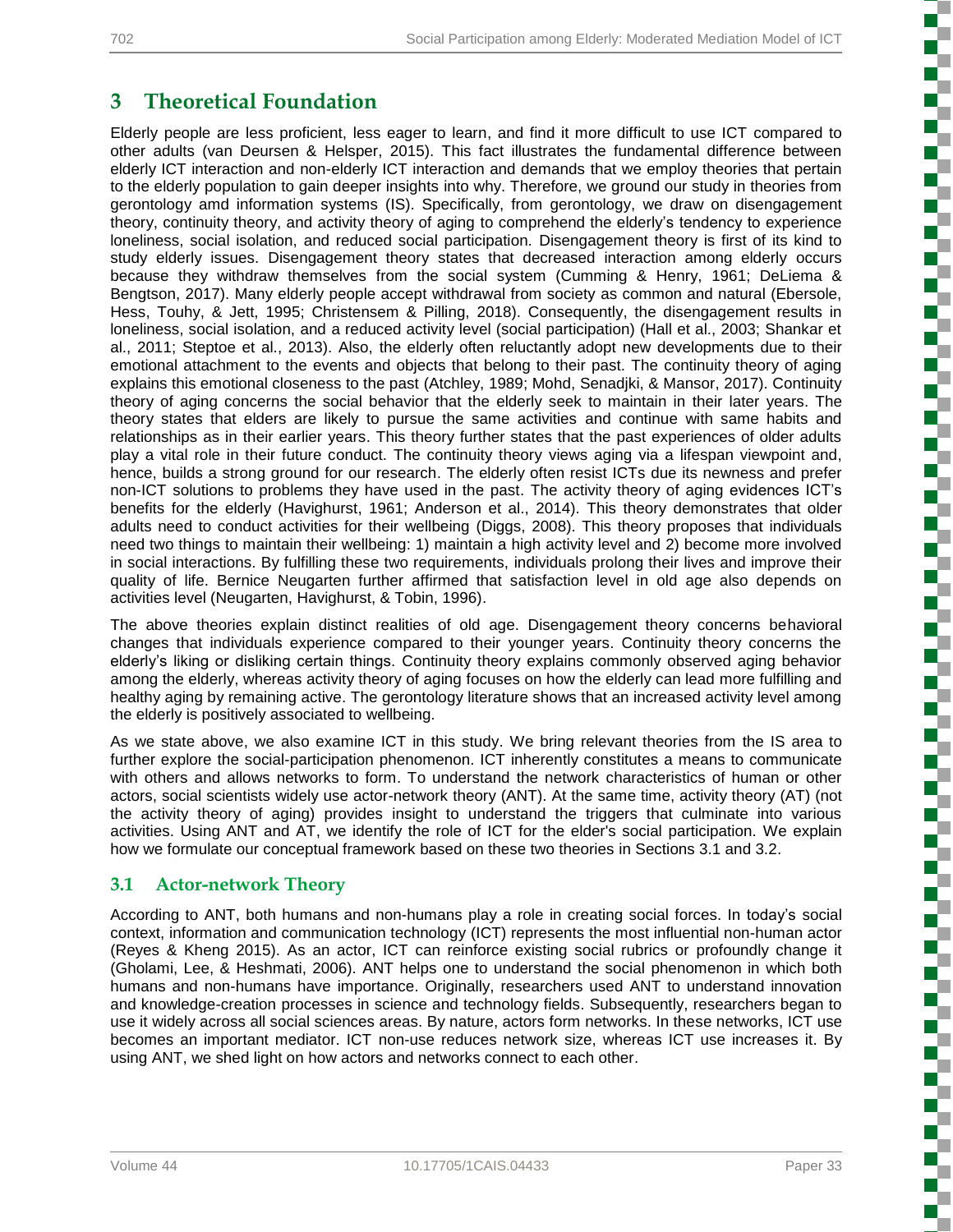5

**Concert Concert** 

しょうかん こうかん こうかん こうかん こうかん こうかん こうかんこう

۶

## **3 Theoretical Foundation**

Elderly people are less proficient, less eager to learn, and find it more difficult to use ICT compared to other adults (van Deursen & Helsper, 2015). This fact illustrates the fundamental difference between elderly ICT interaction and non-elderly ICT interaction and demands that we employ theories that pertain to the elderly population to gain deeper insights into why. Therefore, we ground our study in theories from gerontology amd information systems (IS). Specifically, from gerontology, we draw on disengagement theory, continuity theory, and activity theory of aging to comprehend the elderly's tendency to experience loneliness, social isolation, and reduced social participation. Disengagement theory is first of its kind to study elderly issues. Disengagement theory states that decreased interaction among elderly occurs because they withdraw themselves from the social system (Cumming & Henry, 1961; DeLiema & Bengtson, 2017). Many elderly people accept withdrawal from society as common and natural (Ebersole, Hess, Touhy, & Jett, 1995; Christensem & Pilling, 2018). Consequently, the disengagement results in loneliness, social isolation, and a reduced activity level (social participation) (Hall et al., 2003; Shankar et al., 2011; Steptoe et al., 2013). Also, the elderly often reluctantly adopt new developments due to their emotional attachment to the events and objects that belong to their past. The continuity theory of aging explains this emotional closeness to the past (Atchley, 1989; Mohd, Senadjki, & Mansor, 2017). Continuity theory of aging concerns the social behavior that the elderly seek to maintain in their later years. The theory states that elders are likely to pursue the same activities and continue with same habits and relationships as in their earlier years. This theory further states that the past experiences of older adults play a vital role in their future conduct. The continuity theory views aging via a lifespan viewpoint and, hence, builds a strong ground for our research. The elderly often resist ICTs due its newness and prefer non-ICT solutions to problems they have used in the past. The activity theory of aging evidences ICT's benefits for the elderly (Havighurst, 1961; Anderson et al., 2014). This theory demonstrates that older adults need to conduct activities for their wellbeing (Diggs, 2008). This theory proposes that individuals need two things to maintain their wellbeing: 1) maintain a high activity level and 2) become more involved in social interactions. By fulfilling these two requirements, individuals prolong their lives and improve their quality of life. Bernice Neugarten further affirmed that satisfaction level in old age also depends on activities level (Neugarten, Havighurst, & Tobin, 1996).

The above theories explain distinct realities of old age. Disengagement theory concerns behavioral changes that individuals experience compared to their younger years. Continuity theory concerns the elderly's liking or disliking certain things. Continuity theory explains commonly observed aging behavior among the elderly, whereas activity theory of aging focuses on how the elderly can lead more fulfilling and healthy aging by remaining active. The gerontology literature shows that an increased activity level among the elderly is positively associated to wellbeing.

As we state above, we also examine ICT in this study. We bring relevant theories from the IS area to further explore the social-participation phenomenon. ICT inherently constitutes a means to communicate with others and allows networks to form. To understand the network characteristics of human or other actors, social scientists widely use actor-network theory (ANT). At the same time, activity theory (AT) (not the activity theory of aging) provides insight to understand the triggers that culminate into various activities. Using ANT and AT, we identify the role of ICT for the elder's social participation. We explain how we formulate our conceptual framework based on these two theories in Sections 3.1 and 3.2.

## **3.1 Actor-network Theory**

According to ANT, both humans and non-humans play a role in creating social forces. In today's social context, information and communication technology (ICT) represents the most influential non-human actor (Reyes & Kheng 2015). As an actor, ICT can reinforce existing social rubrics or profoundly change it (Gholami, Lee, & Heshmati, 2006). ANT helps one to understand the social phenomenon in which both humans and non-humans have importance. Originally, researchers used ANT to understand innovation and knowledge-creation processes in science and technology fields. Subsequently, researchers began to use it widely across all social sciences areas. By nature, actors form networks. In these networks, ICT use becomes an important mediator. ICT non-use reduces network size, whereas ICT use increases it. By using ANT, we shed light on how actors and networks connect to each other.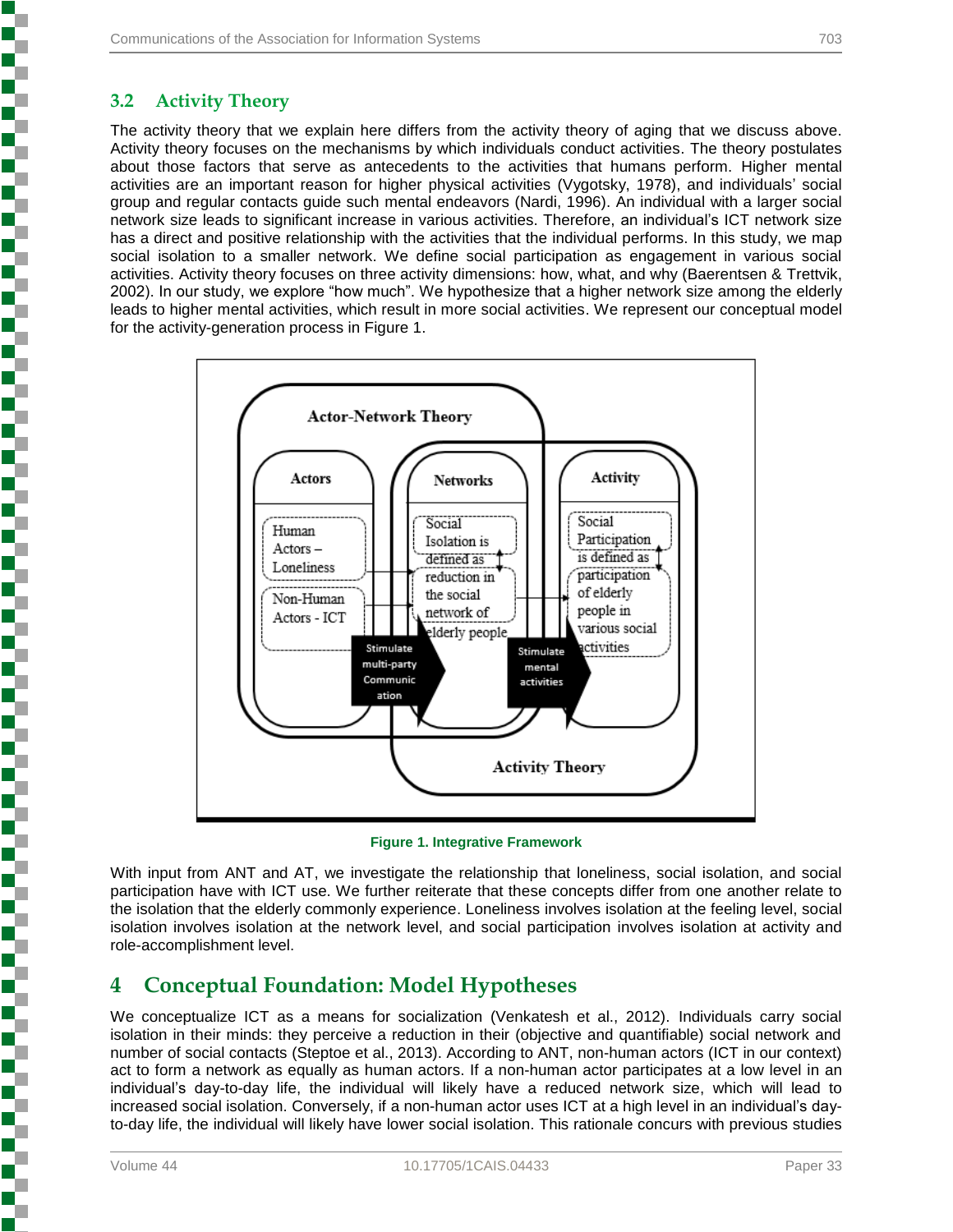#### **3.2 Activity Theory**

į

į

٢

ì

i

ì

į

5

Ŧ

į

į

Ŧ

The activity theory that we explain here differs from the activity theory of aging that we discuss above. Activity theory focuses on the mechanisms by which individuals conduct activities. The theory postulates about those factors that serve as antecedents to the activities that humans perform. Higher mental activities are an important reason for higher physical activities (Vygotsky, 1978), and individuals' social group and regular contacts guide such mental endeavors (Nardi, 1996). An individual with a larger social network size leads to significant increase in various activities. Therefore, an individual's ICT network size has a direct and positive relationship with the activities that the individual performs. In this study, we map social isolation to a smaller network. We define social participation as engagement in various social activities. Activity theory focuses on three activity dimensions: how, what, and why (Baerentsen & Trettvik, 2002). In our study, we explore "how much". We hypothesize that a higher network size among the elderly leads to higher mental activities, which result in more social activities. We represent our conceptual model for the activity-generation process in Figure 1.



**Figure 1. Integrative Framework**

With input from ANT and AT, we investigate the relationship that loneliness, social isolation, and social participation have with ICT use. We further reiterate that these concepts differ from one another relate to the isolation that the elderly commonly experience. Loneliness involves isolation at the feeling level, social isolation involves isolation at the network level, and social participation involves isolation at activity and role-accomplishment level.

## **4 Conceptual Foundation: Model Hypotheses**

We conceptualize ICT as a means for socialization (Venkatesh et al., 2012). Individuals carry social isolation in their minds: they perceive a reduction in their (objective and quantifiable) social network and number of social contacts (Steptoe et al., 2013). According to ANT, non-human actors (ICT in our context) act to form a network as equally as human actors. If a non-human actor participates at a low level in an individual's day-to-day life, the individual will likely have a reduced network size, which will lead to increased social isolation. Conversely, if a non-human actor uses ICT at a high level in an individual's dayto-day life, the individual will likely have lower social isolation. This rationale concurs with previous studies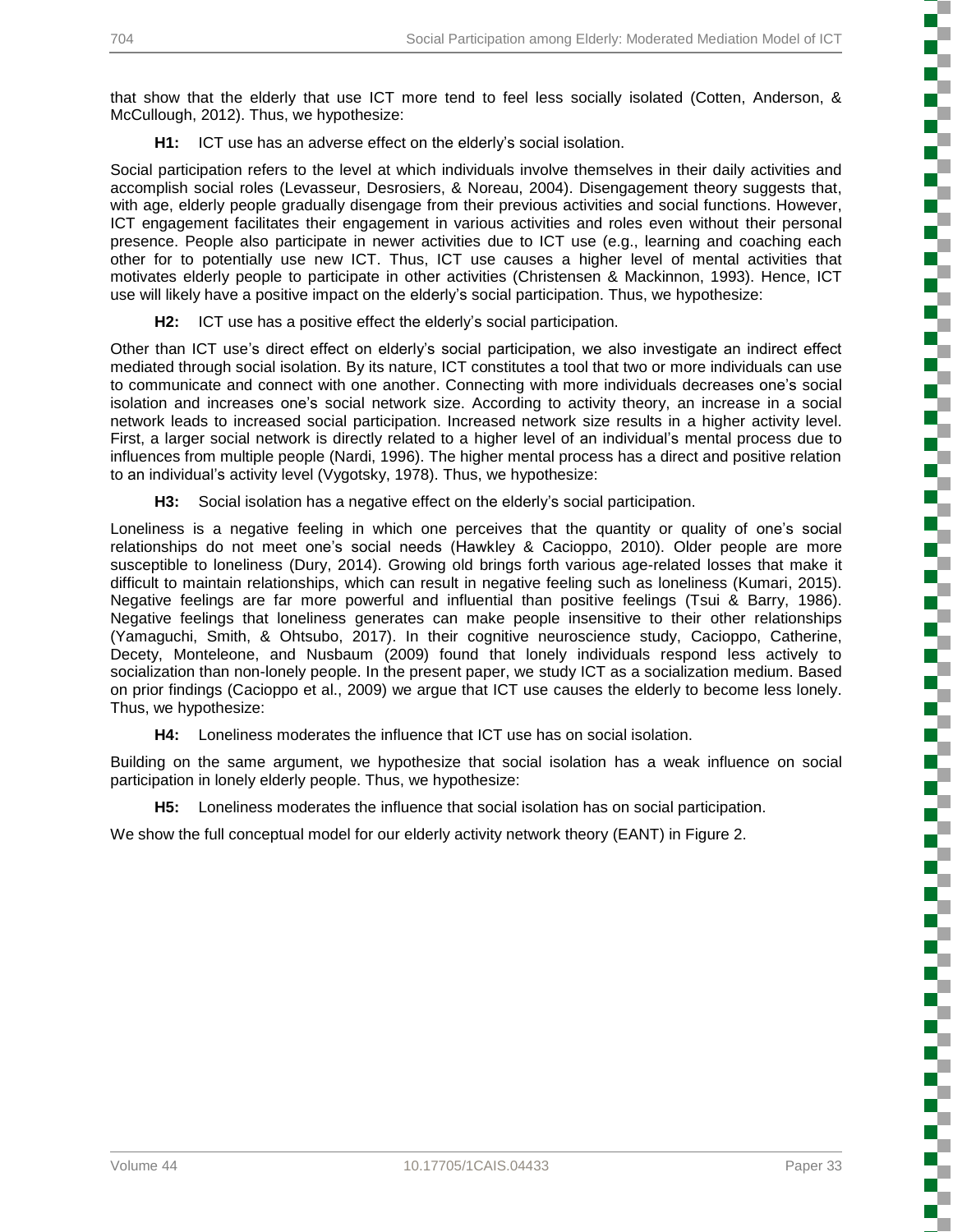that show that the elderly that use ICT more tend to feel less socially isolated (Cotten, Anderson, & McCullough, 2012). Thus, we hypothesize:

**H1:** ICT use has an adverse effect on the elderly's social isolation.

Social participation refers to the level at which individuals involve themselves in their daily activities and accomplish social roles (Levasseur, Desrosiers, & Noreau, 2004). Disengagement theory suggests that, with age, elderly people gradually disengage from their previous activities and social functions. However, ICT engagement facilitates their engagement in various activities and roles even without their personal presence. People also participate in newer activities due to ICT use (e.g., learning and coaching each other for to potentially use new ICT. Thus, ICT use causes a higher level of mental activities that motivates elderly people to participate in other activities (Christensen & Mackinnon, 1993). Hence, ICT use will likely have a positive impact on the elderly's social participation. Thus, we hypothesize:

**H2:** ICT use has a positive effect the elderly's social participation.

Other than ICT use's direct effect on elderly's social participation, we also investigate an indirect effect mediated through social isolation. By its nature, ICT constitutes a tool that two or more individuals can use to communicate and connect with one another. Connecting with more individuals decreases one's social isolation and increases one's social network size. According to activity theory, an increase in a social network leads to increased social participation. Increased network size results in a higher activity level. First, a larger social network is directly related to a higher level of an individual's mental process due to influences from multiple people (Nardi, 1996). The higher mental process has a direct and positive relation to an individual's activity level (Vygotsky, 1978). Thus, we hypothesize:

**H3:** Social isolation has a negative effect on the elderly's social participation.

Loneliness is a negative feeling in which one perceives that the quantity or quality of one's social relationships do not meet one's social needs (Hawkley & Cacioppo, 2010). Older people are more susceptible to loneliness (Dury, 2014). Growing old brings forth various age-related losses that make it difficult to maintain relationships, which can result in negative feeling such as loneliness (Kumari, 2015). Negative feelings are far more powerful and influential than positive feelings (Tsui & Barry, 1986). Negative feelings that loneliness generates can make people insensitive to their other relationships (Yamaguchi, Smith, & Ohtsubo, 2017). In their cognitive neuroscience study, Cacioppo, Catherine, Decety, Monteleone, and Nusbaum (2009) found that lonely individuals respond less actively to socialization than non-lonely people. In the present paper, we study ICT as a socialization medium. Based on prior findings (Cacioppo et al., 2009) we argue that ICT use causes the elderly to become less lonely. Thus, we hypothesize:

**H4:** Loneliness moderates the influence that ICT use has on social isolation.

Building on the same argument, we hypothesize that social isolation has a weak influence on social participation in lonely elderly people. Thus, we hypothesize:

**H5:** Loneliness moderates the influence that social isolation has on social participation.

We show the full conceptual model for our elderly activity network theory (EANT) in Figure 2.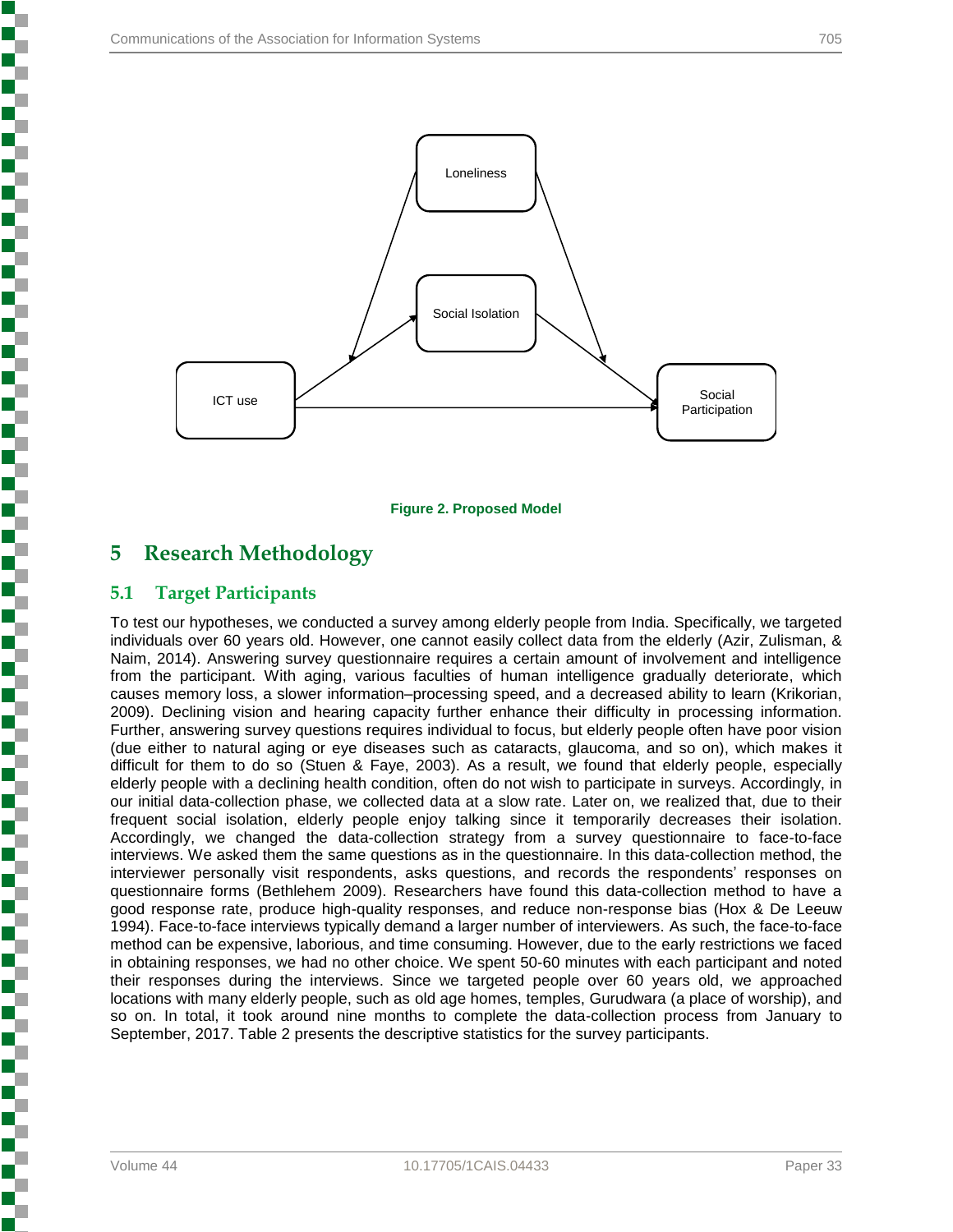

**Figure 2. Proposed Model**

## **5 Research Methodology**

#### **5.1 Target Participants**

To test our hypotheses, we conducted a survey among elderly people from India. Specifically, we targeted individuals over 60 years old. However, one cannot easily collect data from the elderly (Azir, Zulisman, & Naim, 2014). Answering survey questionnaire requires a certain amount of involvement and intelligence from the participant. With aging, various faculties of human intelligence gradually deteriorate, which causes memory loss, a slower information–processing speed, and a decreased ability to learn (Krikorian, 2009). Declining vision and hearing capacity further enhance their difficulty in processing information. Further, answering survey questions requires individual to focus, but elderly people often have poor vision (due either to natural aging or eye diseases such as cataracts, glaucoma, and so on), which makes it difficult for them to do so (Stuen & Faye, 2003). As a result, we found that elderly people, especially elderly people with a declining health condition, often do not wish to participate in surveys. Accordingly, in our initial data-collection phase, we collected data at a slow rate. Later on, we realized that, due to their frequent social isolation, elderly people enjoy talking since it temporarily decreases their isolation. Accordingly, we changed the data-collection strategy from a survey questionnaire to face-to-face interviews. We asked them the same questions as in the questionnaire. In this data-collection method, the interviewer personally visit respondents, asks questions, and records the respondents' responses on questionnaire forms (Bethlehem 2009). Researchers have found this data-collection method to have a good response rate, produce high-quality responses, and reduce non-response bias (Hox & De Leeuw 1994). Face-to-face interviews typically demand a larger number of interviewers. As such, the face-to-face method can be expensive, laborious, and time consuming. However, due to the early restrictions we faced in obtaining responses, we had no other choice. We spent 50-60 minutes with each participant and noted their responses during the interviews. Since we targeted people over 60 years old, we approached locations with many elderly people, such as old age homes, temples, Gurudwara (a place of worship), and so on. In total, it took around nine months to complete the data-collection process from January to September, 2017. Table 2 presents the descriptive statistics for the survey participants.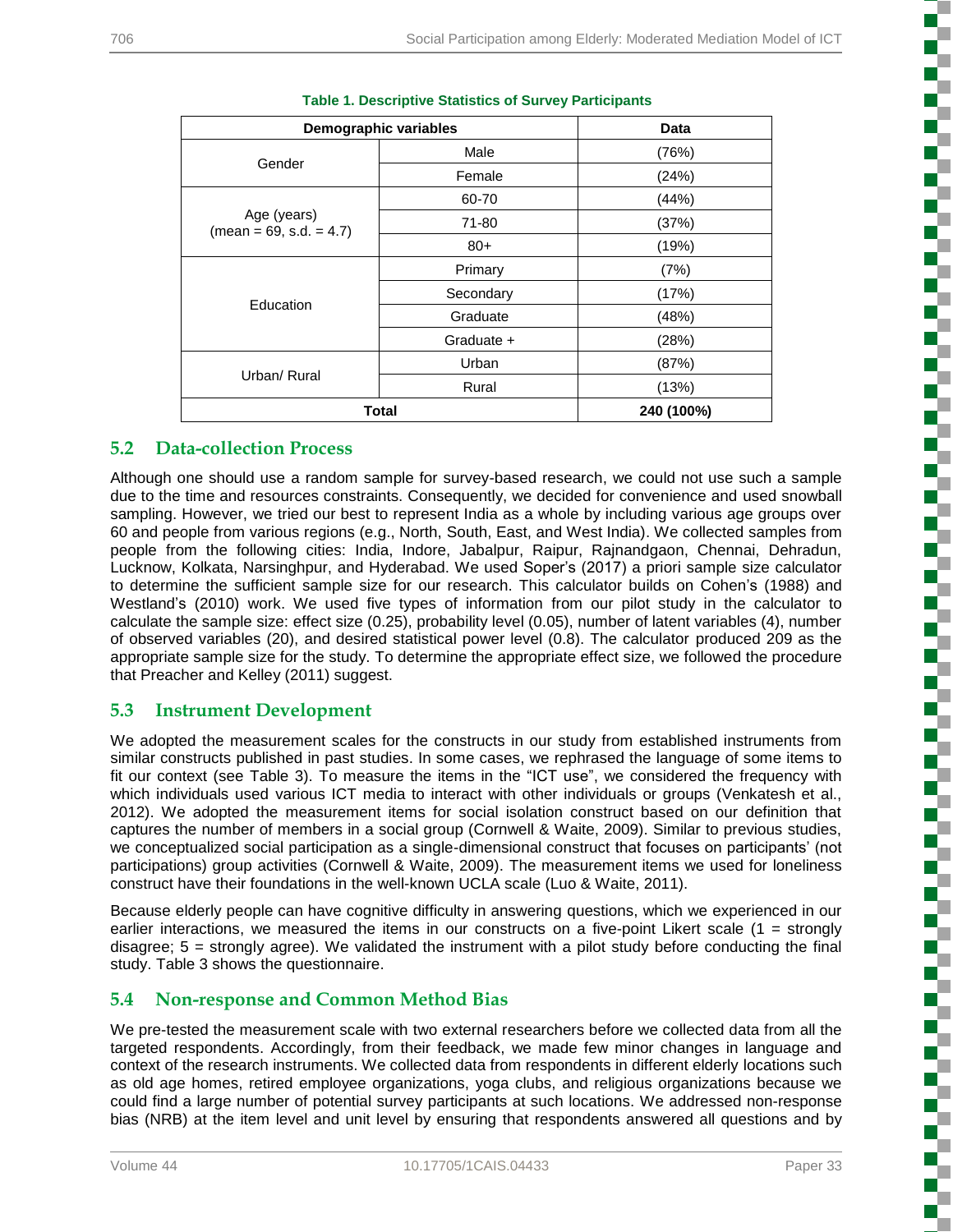į

L. П

| <b>Demographic variables</b>             | <b>Data</b> |       |
|------------------------------------------|-------------|-------|
|                                          | Male        | (76%) |
| Gender                                   | Female      | (24%) |
|                                          | 60-70       | (44%) |
| Age (years)<br>$(mean = 69, s.d. = 4.7)$ | 71-80       | (37%) |
|                                          | $80+$       | (19%) |
|                                          | Primary     | (7%)  |
|                                          | Secondary   | (17%) |
| Education                                | Graduate    | (48%) |
|                                          | Graduate +  | (28%) |
|                                          | Urban       | (87%) |
| Urban/ Rural                             | Rural       | (13%) |
| <b>Total</b>                             | 240 (100%)  |       |

#### **Table 1. Descriptive Statistics of Survey Participants**

#### **5.2 Data-collection Process**

Although one should use a random sample for survey-based research, we could not use such a sample due to the time and resources constraints. Consequently, we decided for convenience and used snowball sampling. However, we tried our best to represent India as a whole by including various age groups over 60 and people from various regions (e.g., North, South, East, and West India). We collected samples from people from the following cities: India, Indore, Jabalpur, Raipur, Rajnandgaon, Chennai, Dehradun, Lucknow, Kolkata, Narsinghpur, and Hyderabad. We used Soper's (2017) a priori sample size calculator to determine the sufficient sample size for our research. This calculator builds on Cohen's (1988) and Westland's (2010) work. We used five types of information from our pilot study in the calculator to calculate the sample size: effect size (0.25), probability level (0.05), number of latent variables (4), number of observed variables (20), and desired statistical power level (0.8). The calculator produced 209 as the appropriate sample size for the study. To determine the appropriate effect size, we followed the procedure that Preacher and Kelley (2011) suggest.

#### **5.3 Instrument Development**

We adopted the measurement scales for the constructs in our study from established instruments from similar constructs published in past studies. In some cases, we rephrased the language of some items to fit our context (see Table 3). To measure the items in the "ICT use", we considered the frequency with which individuals used various ICT media to interact with other individuals or groups (Venkatesh et al., 2012). We adopted the measurement items for social isolation construct based on our definition that captures the number of members in a social group (Cornwell & Waite, 2009). Similar to previous studies, we conceptualized social participation as a single-dimensional construct that focuses on participants' (not participations) group activities (Cornwell & Waite, 2009). The measurement items we used for loneliness construct have their foundations in the well-known UCLA scale (Luo & Waite, 2011).

Because elderly people can have cognitive difficulty in answering questions, which we experienced in our earlier interactions, we measured the items in our constructs on a five-point Likert scale  $(1 =$  strongly disagree; 5 = strongly agree). We validated the instrument with a pilot study before conducting the final study. Table 3 shows the questionnaire.

#### **5.4 Non-response and Common Method Bias**

We pre-tested the measurement scale with two external researchers before we collected data from all the targeted respondents. Accordingly, from their feedback, we made few minor changes in language and context of the research instruments. We collected data from respondents in different elderly locations such as old age homes, retired employee organizations, yoga clubs, and religious organizations because we could find a large number of potential survey participants at such locations. We addressed non-response bias (NRB) at the item level and unit level by ensuring that respondents answered all questions and by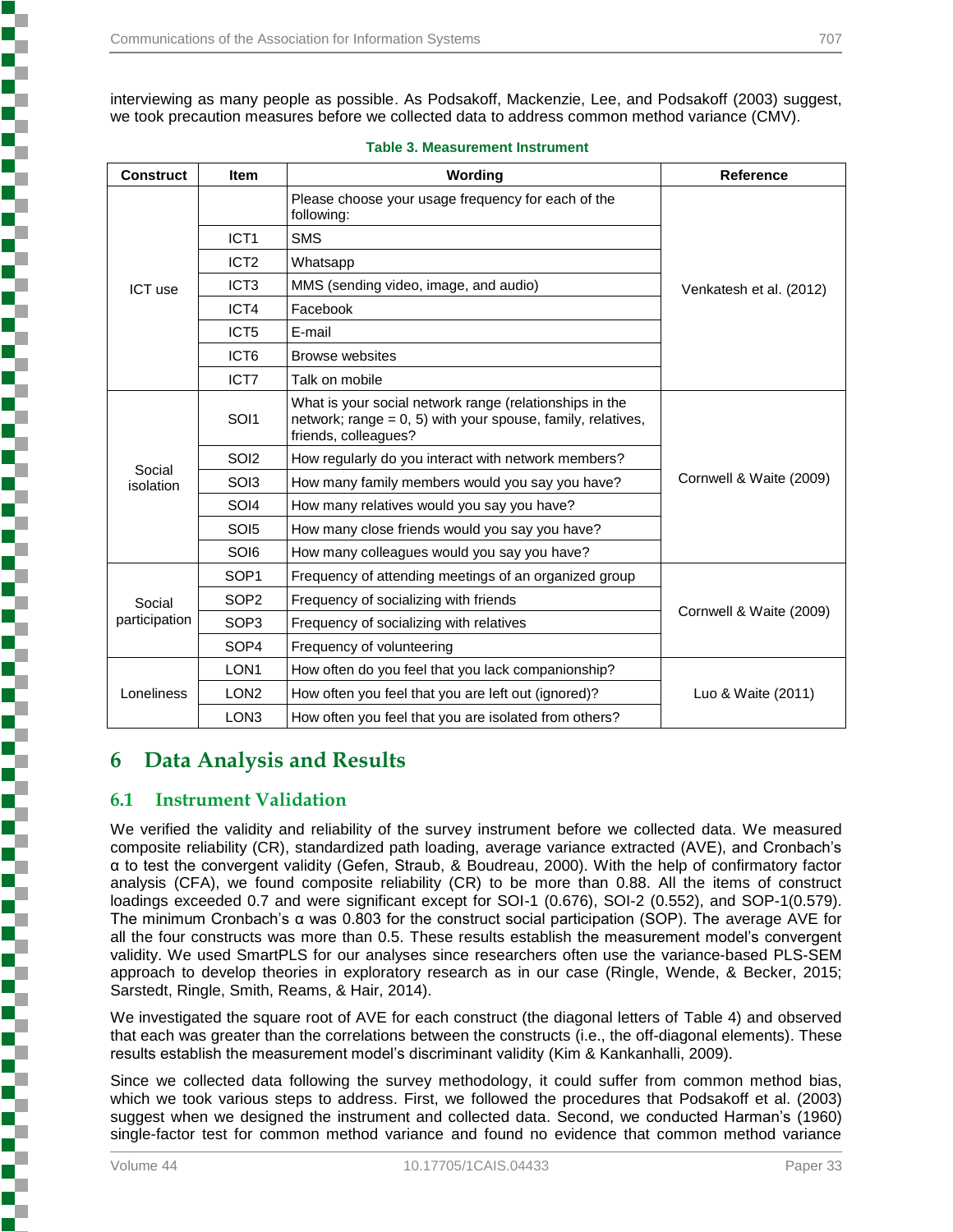interviewing as many people as possible. As Podsakoff, Mackenzie, Lee, and Podsakoff (2003) suggest, we took precaution measures before we collected data to address common method variance (CMV).

| <b>Construct</b> | <b>Item</b>      | Wording                                                                                                                                           | <b>Reference</b>        |  |  |
|------------------|------------------|---------------------------------------------------------------------------------------------------------------------------------------------------|-------------------------|--|--|
|                  |                  | Please choose your usage frequency for each of the<br>following:                                                                                  |                         |  |  |
|                  | ICT <sub>1</sub> | <b>SMS</b>                                                                                                                                        |                         |  |  |
|                  | ICT <sub>2</sub> | Whatsapp                                                                                                                                          |                         |  |  |
| ICT use          | ICT <sub>3</sub> | MMS (sending video, image, and audio)                                                                                                             | Venkatesh et al. (2012) |  |  |
|                  | ICT4             | Facebook                                                                                                                                          |                         |  |  |
|                  | ICT <sub>5</sub> | E-mail                                                                                                                                            |                         |  |  |
|                  | ICT <sub>6</sub> | <b>Browse websites</b>                                                                                                                            |                         |  |  |
|                  | ICT7             | Talk on mobile                                                                                                                                    |                         |  |  |
|                  | SOI1             | What is your social network range (relationships in the<br>network; range $= 0, 5$ ) with your spouse, family, relatives,<br>friends, colleagues? |                         |  |  |
| Social           | SOI <sub>2</sub> | How regularly do you interact with network members?                                                                                               |                         |  |  |
| isolation        | SO <sub>13</sub> | How many family members would you say you have?                                                                                                   | Cornwell & Waite (2009) |  |  |
|                  | SOI4             | How many relatives would you say you have?                                                                                                        |                         |  |  |
|                  | SOI <sub>5</sub> | How many close friends would you say you have?                                                                                                    |                         |  |  |
|                  | SOI6             | How many colleagues would you say you have?                                                                                                       |                         |  |  |
|                  | SOP <sub>1</sub> | Frequency of attending meetings of an organized group                                                                                             |                         |  |  |
| Social           | SOP <sub>2</sub> | Frequency of socializing with friends                                                                                                             | Cornwell & Waite (2009) |  |  |
| participation    | SOP <sub>3</sub> | Frequency of socializing with relatives                                                                                                           |                         |  |  |
|                  | SOP4             | Frequency of volunteering                                                                                                                         |                         |  |  |
|                  | LON <sub>1</sub> | How often do you feel that you lack companionship?                                                                                                |                         |  |  |
| Loneliness       | LON <sub>2</sub> | How often you feel that you are left out (ignored)?                                                                                               | Luo & Waite (2011)      |  |  |
|                  | LON <sub>3</sub> | How often you feel that you are isolated from others?                                                                                             |                         |  |  |

#### **Table 3. Measurement Instrument**

## **6 Data Analysis and Results**

#### **6.1 Instrument Validation**

We verified the validity and reliability of the survey instrument before we collected data. We measured composite reliability (CR), standardized path loading, average variance extracted (AVE), and Cronbach's α to test the convergent validity (Gefen, Straub, & Boudreau, 2000). With the help of confirmatory factor analysis (CFA), we found composite reliability (CR) to be more than 0.88. All the items of construct loadings exceeded 0.7 and were significant except for SOI-1 (0.676), SOI-2 (0.552), and SOP-1(0.579). The minimum Cronbach's α was 0.803 for the construct social participation (SOP). The average AVE for all the four constructs was more than 0.5. These results establish the measurement model's convergent validity. We used SmartPLS for our analyses since researchers often use the variance-based PLS-SEM approach to develop theories in exploratory research as in our case (Ringle, Wende, & Becker, 2015; Sarstedt, Ringle, Smith, Reams, & Hair, 2014).

We investigated the square root of AVE for each construct (the diagonal letters of Table 4) and observed that each was greater than the correlations between the constructs (i.e., the off-diagonal elements). These results establish the measurement model's discriminant validity (Kim & Kankanhalli, 2009).

Since we collected data following the survey methodology, it could suffer from common method bias, which we took various steps to address. First, we followed the procedures that Podsakoff et al. (2003) suggest when we designed the instrument and collected data. Second, we conducted Harman's (1960) single-factor test for common method variance and found no evidence that common method variance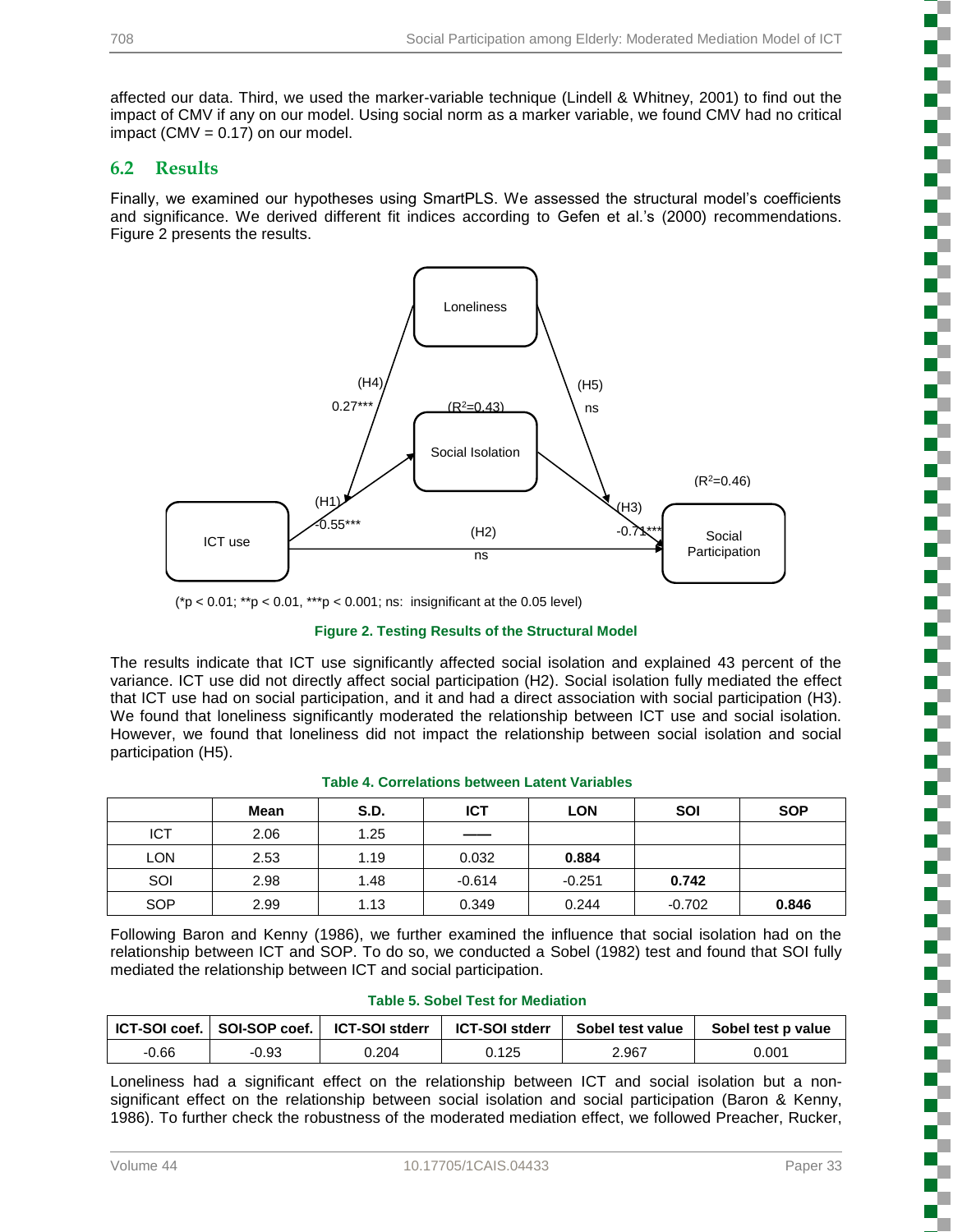affected our data. Third, we used the marker-variable technique (Lindell & Whitney, 2001) to find out the impact of CMV if any on our model. Using social norm as a marker variable, we found CMV had no critical impact (CMV =  $0.17$ ) on our model.

#### **6.2 Results**

Finally, we examined our hypotheses using SmartPLS. We assessed the structural model's coefficients and significance. We derived different fit indices according to Gefen et al.'s (2000) recommendations. Figure 2 presents the results.



(\*p < 0.01; \*\*p < 0.01, \*\*\*p < 0.001; ns: insignificant at the 0.05 level)

#### **Figure 2. Testing Results of the Structural Model**

The results indicate that ICT use significantly affected social isolation and explained 43 percent of the variance. ICT use did not directly affect social participation (H2). Social isolation fully mediated the effect that ICT use had on social participation, and it and had a direct association with social participation (H3). We found that loneliness significantly moderated the relationship between ICT use and social isolation. However, we found that loneliness did not impact the relationship between social isolation and social participation (H5).

| <b>Table 4. Correlations between Latent Variables</b> |  |  |  |
|-------------------------------------------------------|--|--|--|
|-------------------------------------------------------|--|--|--|

|            | Mean | <b>S.D.</b> | ICT                      | LON      | <b>SOI</b> | <b>SOP</b> |
|------------|------|-------------|--------------------------|----------|------------|------------|
| <b>ICT</b> | 2.06 | 1.25        | $\overline{\phantom{a}}$ |          |            |            |
| LON        | 2.53 | 1.19        | 0.032                    | 0.884    |            |            |
| SOI        | 2.98 | 1.48        | $-0.614$                 | $-0.251$ | 0.742      |            |
| <b>SOP</b> | 2.99 | 1.13        | 0.349                    | 0.244    | $-0.702$   | 0.846      |

Following Baron and Kenny (1986), we further examined the influence that social isolation had on the relationship between ICT and SOP. To do so, we conducted a Sobel (1982) test and found that SOI fully mediated the relationship between ICT and social participation.

|         | ICT-SOI coef. I SOI-SOP coef. I | <b>ICT-SOI stderr</b> | <b>ICT-SOI stderr</b> | Sobel test value | Sobel test p value |
|---------|---------------------------------|-----------------------|-----------------------|------------------|--------------------|
| $-0.66$ | -0.93                           | 0.204                 | 0.125                 | 2.967            | 0.001              |

**Table 5. Sobel Test for Mediation**

Loneliness had a significant effect on the relationship between ICT and social isolation but a nonsignificant effect on the relationship between social isolation and social participation (Baron & Kenny, 1986). To further check the robustness of the moderated mediation effect, we followed Preacher, Rucker,

i<br>Sanada

 $\Box$ 

Į

**Concert Concert**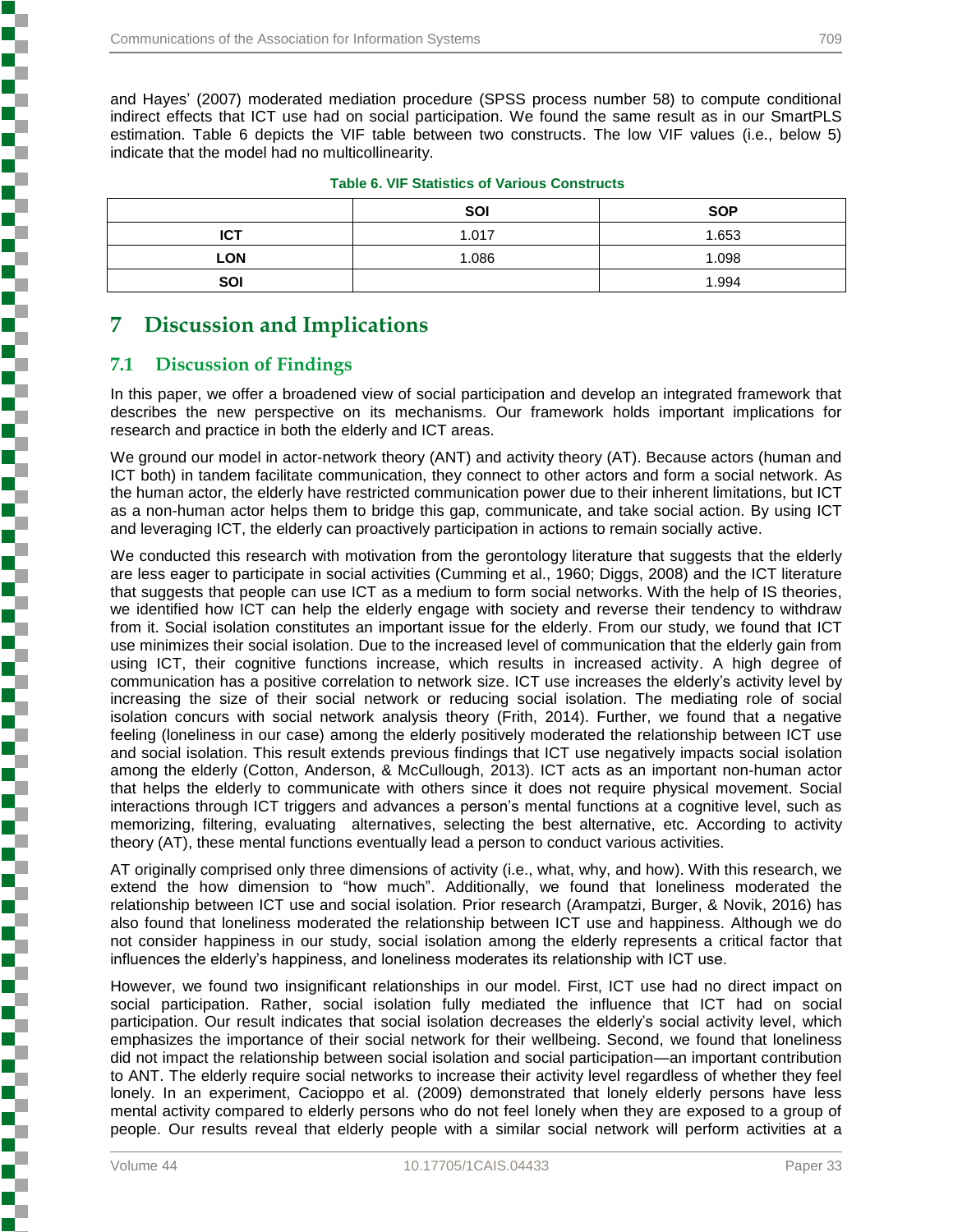and Hayes' (2007) moderated mediation procedure (SPSS process number 58) to compute conditional indirect effects that ICT use had on social participation. We found the same result as in our SmartPLS estimation. Table 6 depicts the VIF table between two constructs. The low VIF values (i.e., below 5) indicate that the model had no multicollinearity.

|            | <b>SOI</b> | <b>SOP</b> |
|------------|------------|------------|
| <b>ICT</b> | 1.017      | 1.653      |
| <b>LON</b> | 1.086      | 1.098      |
| SOI        |            | 1.994      |

|  |  | <b>Table 6. VIF Statistics of Various Constructs</b> |
|--|--|------------------------------------------------------|
|  |  |                                                      |

## **7 Discussion and Implications**

#### **7.1 Discussion of Findings**

In this paper, we offer a broadened view of social participation and develop an integrated framework that describes the new perspective on its mechanisms. Our framework holds important implications for research and practice in both the elderly and ICT areas.

We ground our model in actor-network theory (ANT) and activity theory (AT). Because actors (human and ICT both) in tandem facilitate communication, they connect to other actors and form a social network. As the human actor, the elderly have restricted communication power due to their inherent limitations, but ICT as a non-human actor helps them to bridge this gap, communicate, and take social action. By using ICT and leveraging ICT, the elderly can proactively participation in actions to remain socially active.

We conducted this research with motivation from the gerontology literature that suggests that the elderly are less eager to participate in social activities (Cumming et al., 1960; Diggs, 2008) and the ICT literature that suggests that people can use ICT as a medium to form social networks. With the help of IS theories, we identified how ICT can help the elderly engage with society and reverse their tendency to withdraw from it. Social isolation constitutes an important issue for the elderly. From our study, we found that ICT use minimizes their social isolation. Due to the increased level of communication that the elderly gain from using ICT, their cognitive functions increase, which results in increased activity. A high degree of communication has a positive correlation to network size. ICT use increases the elderly's activity level by increasing the size of their social network or reducing social isolation. The mediating role of social isolation concurs with social network analysis theory (Frith, 2014). Further, we found that a negative feeling (loneliness in our case) among the elderly positively moderated the relationship between ICT use and social isolation. This result extends previous findings that ICT use negatively impacts social isolation among the elderly (Cotton, Anderson, & McCullough, 2013). ICT acts as an important non-human actor that helps the elderly to communicate with others since it does not require physical movement. Social interactions through ICT triggers and advances a person's mental functions at a cognitive level, such as memorizing, filtering, evaluating alternatives, selecting the best alternative, etc. According to activity theory (AT), these mental functions eventually lead a person to conduct various activities.

AT originally comprised only three dimensions of activity (i.e., what, why, and how). With this research, we extend the how dimension to "how much". Additionally, we found that loneliness moderated the relationship between ICT use and social isolation. Prior research (Arampatzi, Burger, & Novik, 2016) has also found that loneliness moderated the relationship between ICT use and happiness. Although we do not consider happiness in our study, social isolation among the elderly represents a critical factor that influences the elderly's happiness, and loneliness moderates its relationship with ICT use.

However, we found two insignificant relationships in our model. First, ICT use had no direct impact on social participation. Rather, social isolation fully mediated the influence that ICT had on social participation. Our result indicates that social isolation decreases the elderly's social activity level, which emphasizes the importance of their social network for their wellbeing. Second, we found that loneliness did not impact the relationship between social isolation and social participation—an important contribution to ANT. The elderly require social networks to increase their activity level regardless of whether they feel lonely. In an experiment, Cacioppo et al. (2009) demonstrated that lonely elderly persons have less mental activity compared to elderly persons who do not feel lonely when they are exposed to a group of people. Our results reveal that elderly people with a similar social network will perform activities at a

**Production of the production of the production of the production of the production of the production of the production of the production of the production of the production of the production of the production of the produ**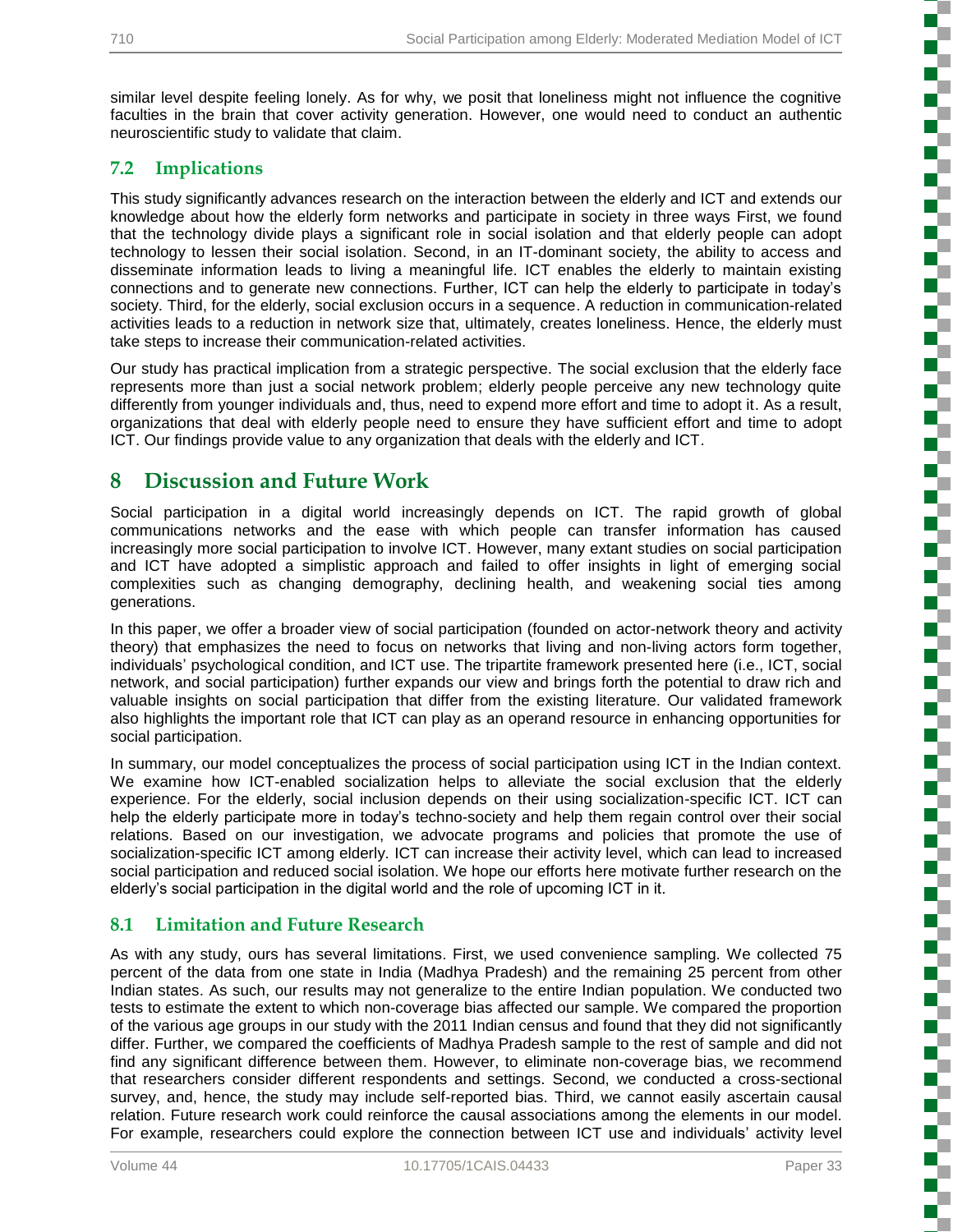similar level despite feeling lonely. As for why, we posit that loneliness might not influence the cognitive faculties in the brain that cover activity generation. However, one would need to conduct an authentic neuroscientific study to validate that claim.

#### **7.2 Implications**

This study significantly advances research on the interaction between the elderly and ICT and extends our knowledge about how the elderly form networks and participate in society in three ways First, we found that the technology divide plays a significant role in social isolation and that elderly people can adopt technology to lessen their social isolation. Second, in an IT-dominant society, the ability to access and disseminate information leads to living a meaningful life. ICT enables the elderly to maintain existing connections and to generate new connections. Further, ICT can help the elderly to participate in today's society. Third, for the elderly, social exclusion occurs in a sequence. A reduction in communication-related activities leads to a reduction in network size that, ultimately, creates loneliness. Hence, the elderly must take steps to increase their communication-related activities.

Our study has practical implication from a strategic perspective. The social exclusion that the elderly face represents more than just a social network problem; elderly people perceive any new technology quite differently from younger individuals and, thus, need to expend more effort and time to adopt it. As a result, organizations that deal with elderly people need to ensure they have sufficient effort and time to adopt ICT. Our findings provide value to any organization that deals with the elderly and ICT.

#### **8 Discussion and Future Work**

Social participation in a digital world increasingly depends on ICT. The rapid growth of global communications networks and the ease with which people can transfer information has caused increasingly more social participation to involve ICT. However, many extant studies on social participation and ICT have adopted a simplistic approach and failed to offer insights in light of emerging social complexities such as changing demography, declining health, and weakening social ties among generations.

In this paper, we offer a broader view of social participation (founded on actor-network theory and activity theory) that emphasizes the need to focus on networks that living and non-living actors form together, individuals' psychological condition, and ICT use. The tripartite framework presented here (i.e., ICT, social network, and social participation) further expands our view and brings forth the potential to draw rich and valuable insights on social participation that differ from the existing literature. Our validated framework also highlights the important role that ICT can play as an operand resource in enhancing opportunities for social participation.

In summary, our model conceptualizes the process of social participation using ICT in the Indian context. We examine how ICT-enabled socialization helps to alleviate the social exclusion that the elderly experience. For the elderly, social inclusion depends on their using socialization-specific ICT. ICT can help the elderly participate more in today's techno-society and help them regain control over their social relations. Based on our investigation, we advocate programs and policies that promote the use of socialization-specific ICT among elderly. ICT can increase their activity level, which can lead to increased social participation and reduced social isolation. We hope our efforts here motivate further research on the elderly's social participation in the digital world and the role of upcoming ICT in it.

#### **8.1 Limitation and Future Research**

As with any study, ours has several limitations. First, we used convenience sampling. We collected 75 percent of the data from one state in India (Madhya Pradesh) and the remaining 25 percent from other Indian states. As such, our results may not generalize to the entire Indian population. We conducted two tests to estimate the extent to which non-coverage bias affected our sample. We compared the proportion of the various age groups in our study with the 2011 Indian census and found that they did not significantly differ. Further, we compared the coefficients of Madhya Pradesh sample to the rest of sample and did not find any significant difference between them. However, to eliminate non-coverage bias, we recommend that researchers consider different respondents and settings. Second, we conducted a cross-sectional survey, and, hence, the study may include self-reported bias. Third, we cannot easily ascertain causal relation. Future research work could reinforce the causal associations among the elements in our model. For example, researchers could explore the connection between ICT use and individuals' activity level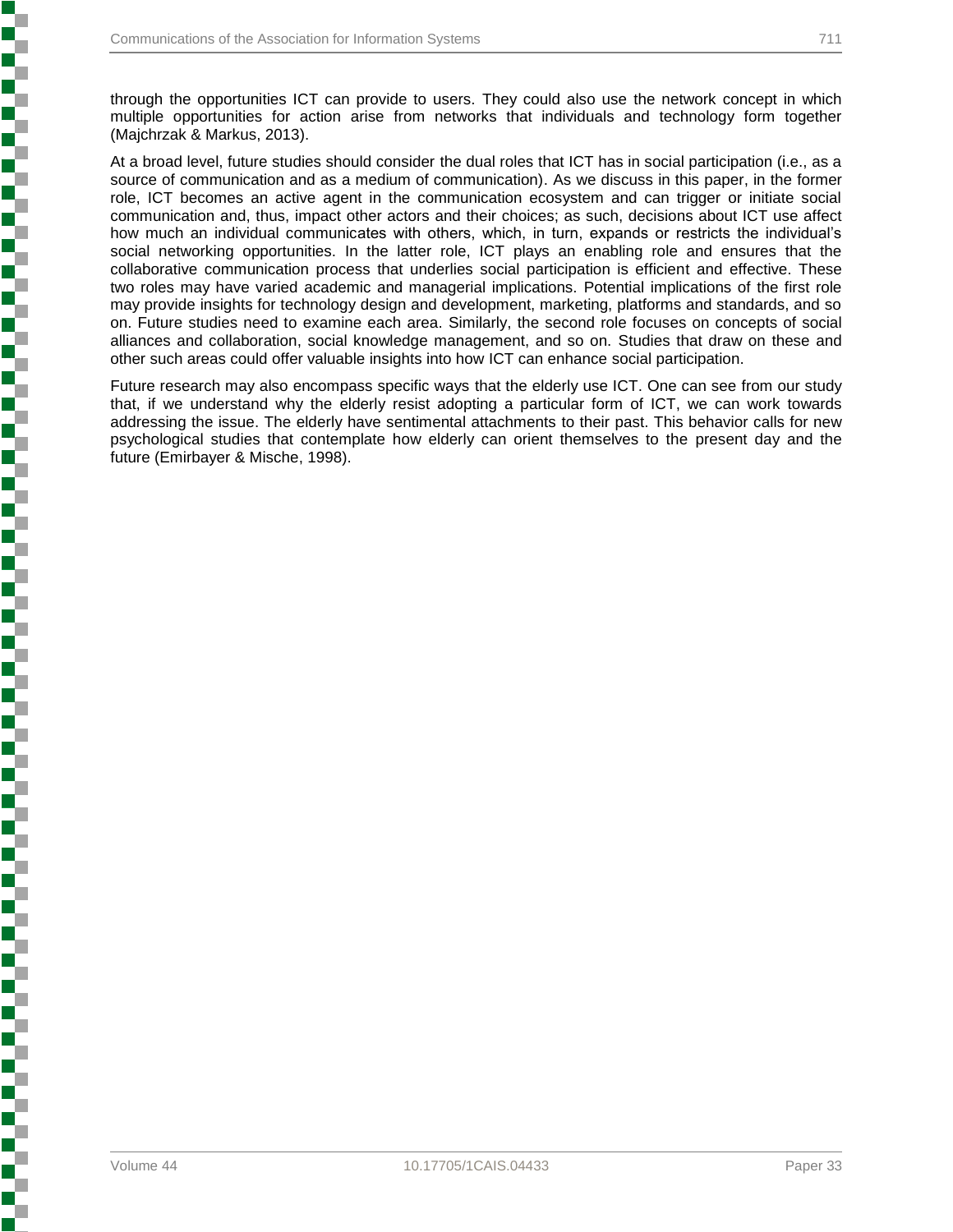i<br>Si

through the opportunities ICT can provide to users. They could also use the network concept in which multiple opportunities for action arise from networks that individuals and technology form together (Majchrzak & Markus, 2013).

At a broad level, future studies should consider the dual roles that ICT has in social participation (i.e., as a source of communication and as a medium of communication). As we discuss in this paper, in the former role, ICT becomes an active agent in the communication ecosystem and can trigger or initiate social communication and, thus, impact other actors and their choices; as such, decisions about ICT use affect how much an individual communicates with others, which, in turn, expands or restricts the individual's social networking opportunities. In the latter role, ICT plays an enabling role and ensures that the collaborative communication process that underlies social participation is efficient and effective. These two roles may have varied academic and managerial implications. Potential implications of the first role may provide insights for technology design and development, marketing, platforms and standards, and so on. Future studies need to examine each area. Similarly, the second role focuses on concepts of social alliances and collaboration, social knowledge management, and so on. Studies that draw on these and other such areas could offer valuable insights into how ICT can enhance social participation.

Future research may also encompass specific ways that the elderly use ICT. One can see from our study that, if we understand why the elderly resist adopting a particular form of ICT, we can work towards addressing the issue. The elderly have sentimental attachments to their past. This behavior calls for new psychological studies that contemplate how elderly can orient themselves to the present day and the future (Emirbayer & Mische, 1998).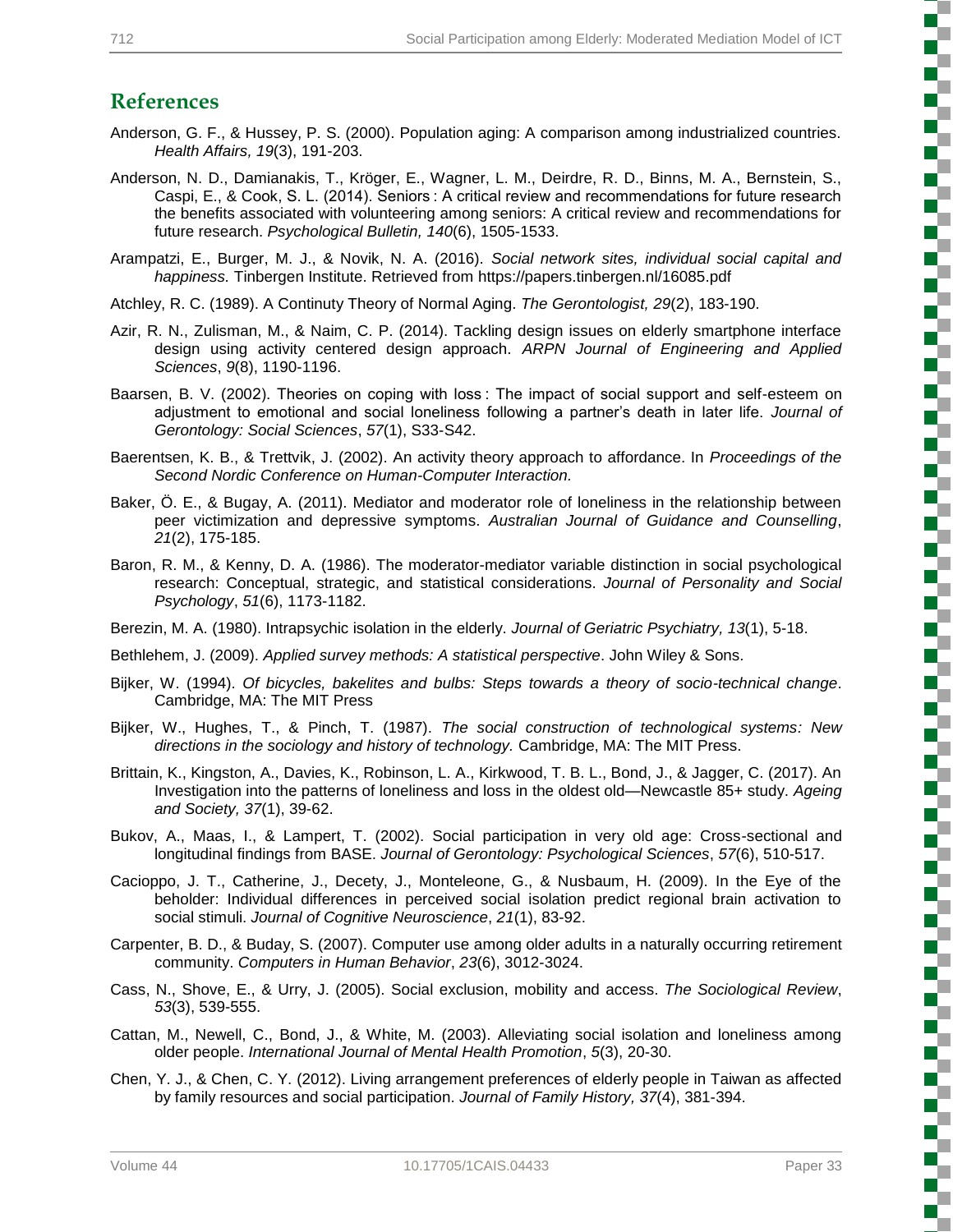## **References**

- Anderson, G. F., & Hussey, P. S. (2000). Population aging: A comparison among industrialized countries. *Health Affairs, 19*(3), 191-203.
- Anderson, N. D., Damianakis, T., Kröger, E., Wagner, L. M., Deirdre, R. D., Binns, M. A., Bernstein, S., Caspi, E., & Cook, S. L. (2014). Seniors : A critical review and recommendations for future research the benefits associated with volunteering among seniors: A critical review and recommendations for future research. *Psychological Bulletin, 140*(6), 1505-1533.
- Arampatzi, E., Burger, M. J., & Novik, N. A. (2016). *Social network sites, individual social capital and happiness.* Tinbergen Institute. Retrieved from https://papers.tinbergen.nl/16085.pdf
- Atchley, R. C. (1989). A Continuty Theory of Normal Aging. *The Gerontologist, 29*(2), 183-190.
- Azir, R. N., Zulisman, M., & Naim, C. P. (2014). Tackling design issues on elderly smartphone interface design using activity centered design approach. *ARPN Journal of Engineering and Applied Sciences*, *9*(8), 1190-1196.
- Baarsen, B. V. (2002). Theories on coping with loss : The impact of social support and self-esteem on adjustment to emotional and social loneliness following a partner's death in later life. *Journal of Gerontology: Social Sciences*, *57*(1), S33-S42.
- Baerentsen, K. B., & Trettvik, J. (2002). An activity theory approach to affordance. In *Proceedings of the Second Nordic Conference on Human-Computer Interaction.*
- Baker, Ö. E., & Bugay, A. (2011). Mediator and moderator role of loneliness in the relationship between peer victimization and depressive symptoms. *Australian Journal of Guidance and Counselling*, *21*(2), 175-185.
- Baron, R. M., & Kenny, D. A. (1986). The moderator-mediator variable distinction in social psychological research: Conceptual, strategic, and statistical considerations. *Journal of Personality and Social Psychology*, *51*(6), 1173-1182.
- Berezin, M. A. (1980). Intrapsychic isolation in the elderly. *Journal of Geriatric Psychiatry, 13*(1), 5-18.
- Bethlehem, J. (2009). *Applied survey methods: A statistical perspective*. John Wiley & Sons.
- Bijker, W. (1994). *Of bicycles, bakelites and bulbs: Steps towards a theory of socio-technical change*. Cambridge, MA: The MIT Press
- Bijker, W., Hughes, T., & Pinch, T. (1987). *The social construction of technological systems: New directions in the sociology and history of technology.* Cambridge, MA: The MIT Press.
- Brittain, K., Kingston, A., Davies, K., Robinson, L. A., Kirkwood, T. B. L., Bond, J., & Jagger, C. (2017). An Investigation into the patterns of loneliness and loss in the oldest old—Newcastle 85+ study. *Ageing and Society, 37*(1), 39-62.
- Bukov, A., Maas, I., & Lampert, T. (2002). Social participation in very old age: Cross-sectional and longitudinal findings from BASE. *Journal of Gerontology: Psychological Sciences*, *57*(6), 510-517.
- Cacioppo, J. T., Catherine, J., Decety, J., Monteleone, G., & Nusbaum, H. (2009). In the Eye of the beholder: Individual differences in perceived social isolation predict regional brain activation to social stimuli. *Journal of Cognitive Neuroscience*, *21*(1), 83-92.
- Carpenter, B. D., & Buday, S. (2007). Computer use among older adults in a naturally occurring retirement community. *Computers in Human Behavior*, *23*(6), 3012-3024.
- Cass, N., Shove, E., & Urry, J. (2005). Social exclusion, mobility and access. *The Sociological Review*, *53*(3), 539-555.
- Cattan, M., Newell, C., Bond, J., & White, M. (2003). Alleviating social isolation and loneliness among older people. *International Journal of Mental Health Promotion*, *5*(3), 20-30.
- Chen, Y. J., & Chen, C. Y. (2012). Living arrangement preferences of elderly people in Taiwan as affected by family resources and social participation. *Journal of Family History, 37*(4), 381-394.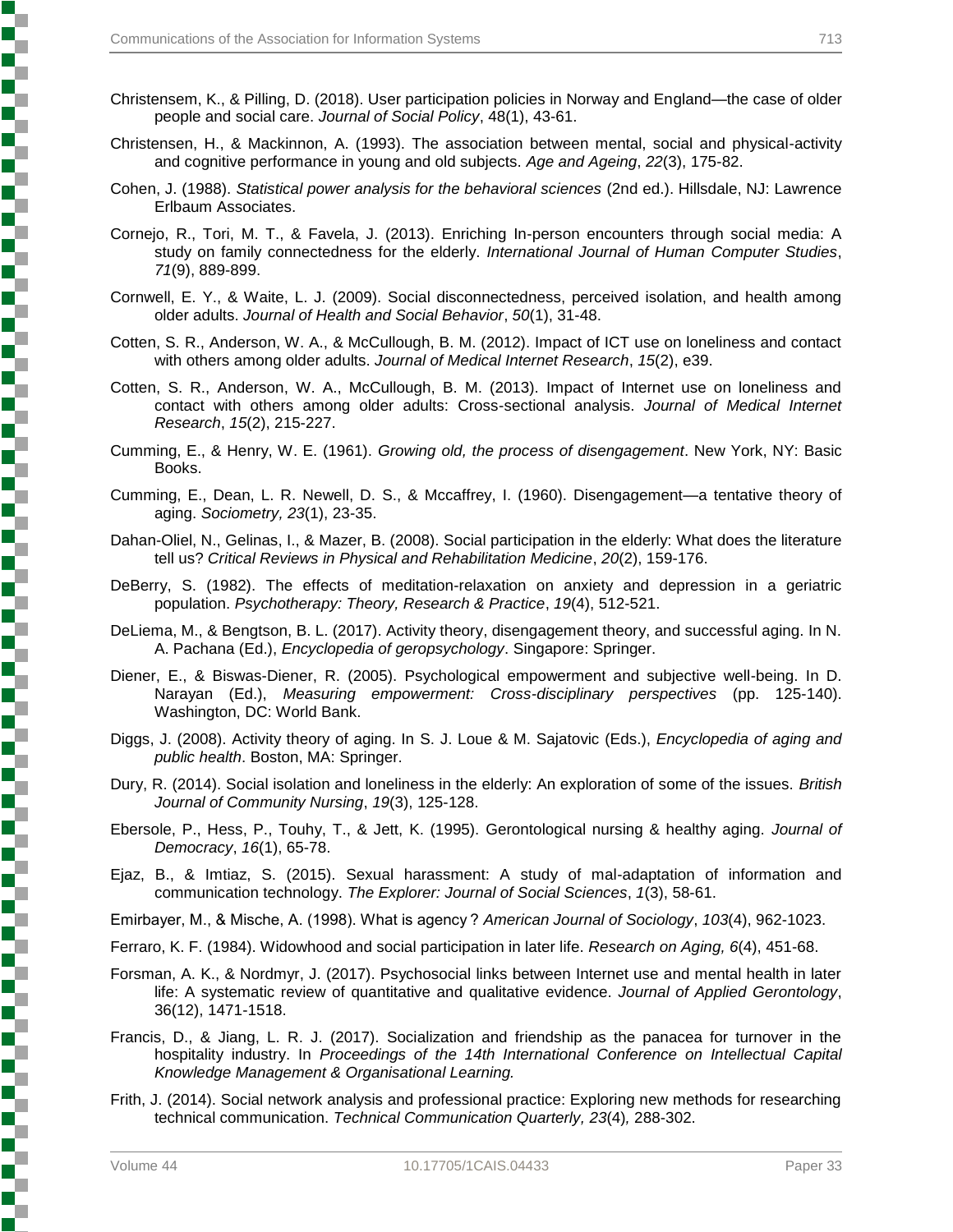- Christensem, K., & Pilling, D. (2018). User participation policies in Norway and England—the case of older people and social care. *Journal of Social Policy*, 48(1), 43-61.
- Christensen, H., & Mackinnon, A. (1993). The association between mental, social and physical-activity and cognitive performance in young and old subjects. *Age and Ageing*, *22*(3), 175-82.
- Cohen, J. (1988). *Statistical power analysis for the behavioral sciences* (2nd ed.). Hillsdale, NJ: Lawrence Erlbaum Associates.
- Cornejo, R., Tori, M. T., & Favela, J. (2013). Enriching In-person encounters through social media: A study on family connectedness for the elderly. *International Journal of Human Computer Studies*, *71*(9), 889-899.
- Cornwell, E. Y., & Waite, L. J. (2009). Social disconnectedness, perceived isolation, and health among older adults. *Journal of Health and Social Behavior*, *50*(1), 31-48.
- Cotten, S. R., Anderson, W. A., & McCullough, B. M. (2012). Impact of ICT use on loneliness and contact with others among older adults. *Journal of Medical Internet Research*, *15*(2), e39.
- Cotten, S. R., Anderson, W. A., McCullough, B. M. (2013). Impact of Internet use on loneliness and contact with others among older adults: Cross-sectional analysis. *Journal of Medical Internet Research*, *15*(2), 215-227.
- Cumming, E., & Henry, W. E. (1961). *Growing old, the process of disengagement*. New York, NY: Basic Books.
- Cumming, E., Dean, L. R. Newell, D. S., & Mccaffrey, I. (1960). Disengagement—a tentative theory of aging. *Sociometry, 23*(1), 23-35.
- Dahan-Oliel, N., Gelinas, I., & Mazer, B. (2008). Social participation in the elderly: What does the literature tell us? *Critical Reviews in Physical and Rehabilitation Medicine*, *20*(2), 159-176.
- DeBerry, S. (1982). The effects of meditation-relaxation on anxiety and depression in a geriatric population. *Psychotherapy: Theory, Research & Practice*, *19*(4), 512-521.
- DeLiema, M., & Bengtson, B. L. (2017). Activity theory, disengagement theory, and successful aging. In N. A. Pachana (Ed.), *Encyclopedia of geropsychology*. Singapore: Springer.
- Diener, E., & Biswas-Diener, R. (2005). Psychological empowerment and subjective well-being. In D. Narayan (Ed.), *Measuring empowerment: Cross-disciplinary perspectives* (pp. 125-140). Washington, DC: World Bank.
- Diggs, J. (2008). Activity theory of aging. In S. J. Loue & M. Sajatovic (Eds.), *Encyclopedia of aging and public health*. Boston, MA: Springer.
- Dury, R. (2014). Social isolation and loneliness in the elderly: An exploration of some of the issues. *British Journal of Community Nursing*, *19*(3), 125-128.
- Ebersole, P., Hess, P., Touhy, T., & Jett, K. (1995). Gerontological nursing & healthy aging. *Journal of Democracy*, *16*(1), 65-78.
- Ejaz, B., & Imtiaz, S. (2015). Sexual harassment: A study of mal-adaptation of information and communication technology. *The Explorer: Journal of Social Sciences*, *1*(3), 58-61.

Emirbayer, M., & Mische, A. (1998). What is agency ? *American Journal of Sociology*, *103*(4), 962-1023.

Ferraro, K. F. (1984). Widowhood and social participation in later life. *Research on Aging, 6*(4), 451-68.

- Forsman, A. K., & Nordmyr, J. (2017). Psychosocial links between Internet use and mental health in later life: A systematic review of quantitative and qualitative evidence. *Journal of Applied Gerontology*, 36(12), 1471-1518.
- Francis, D., & Jiang, L. R. J. (2017). Socialization and friendship as the panacea for turnover in the hospitality industry. In *Proceedings of the 14th International Conference on Intellectual Capital Knowledge Management & Organisational Learning.*
- Frith, J. (2014). Social network analysis and professional practice: Exploring new methods for researching technical communication. *Technical Communication Quarterly, 23*(4)*,* 288-302.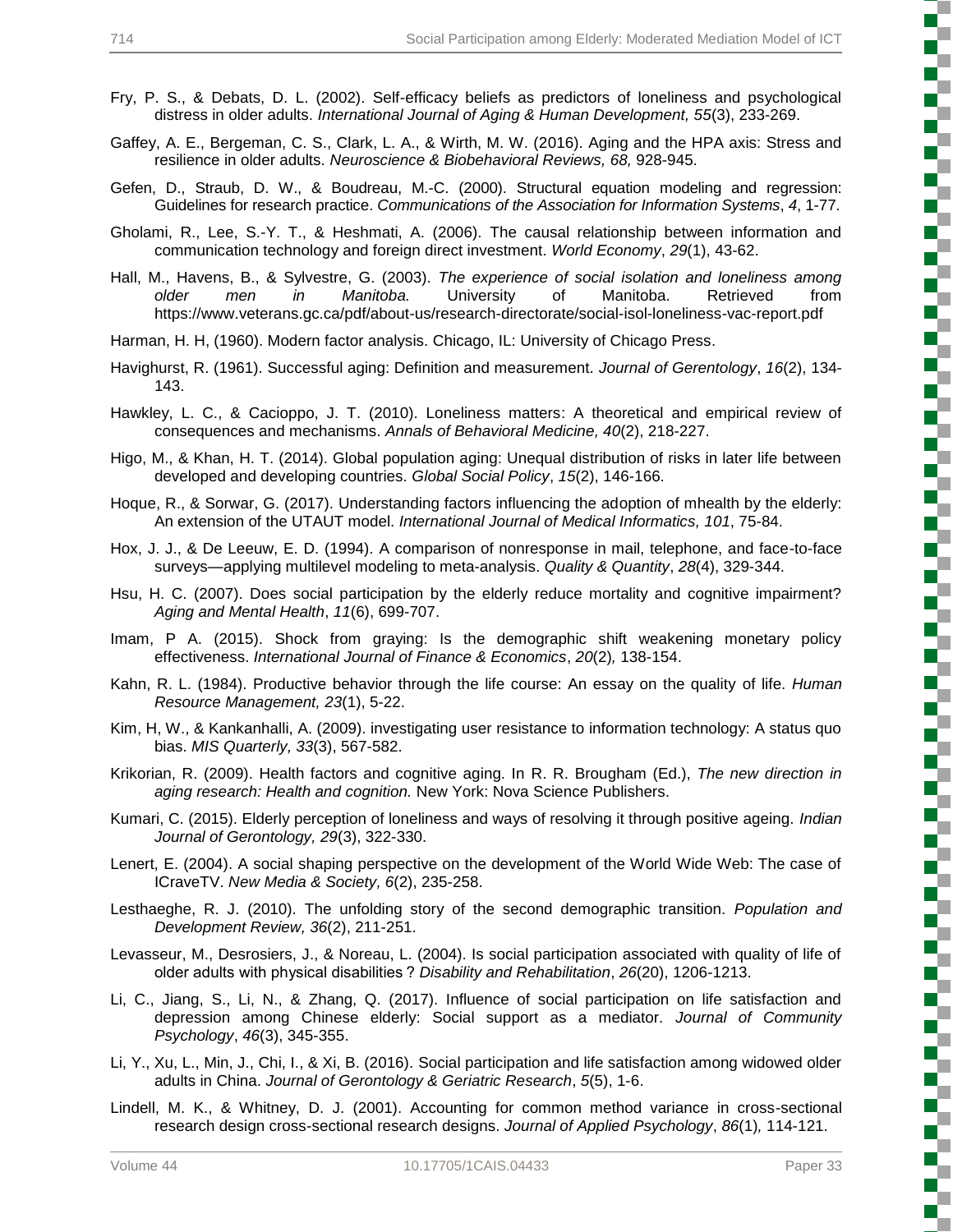- Fry, P. S., & Debats, D. L. (2002). Self-efficacy beliefs as predictors of loneliness and psychological distress in older adults. *International Journal of Aging & Human Development, 55*(3), 233-269.
- Gaffey, A. E., Bergeman, C. S., Clark, L. A., & Wirth, M. W. (2016). Aging and the HPA axis: Stress and resilience in older adults. *Neuroscience & Biobehavioral Reviews, 68,* 928-945.
- Gefen, D., Straub, D. W., & Boudreau, M.-C. (2000). Structural equation modeling and regression: Guidelines for research practice. *Communications of the Association for Information Systems*, *4*, 1-77.
- Gholami, R., Lee, S.-Y. T., & Heshmati, A. (2006). The causal relationship between information and communication technology and foreign direct investment. *World Economy*, *29*(1), 43-62.
- Hall, M., Havens, B., & Sylvestre, G. (2003). *The experience of social isolation and loneliness among older men in Manitoba.* University of Manitoba. Retrieved from https://www.veterans.gc.ca/pdf/about-us/research-directorate/social-isol-loneliness-vac-report.pdf
- Harman, H. H, (1960). Modern factor analysis. Chicago, IL: University of Chicago Press.
- Havighurst, R. (1961). Successful aging: Definition and measurement. *Journal of Gerentology*, *16*(2), 134- 143.
- Hawkley, L. C., & Cacioppo, J. T. (2010). Loneliness matters: A theoretical and empirical review of consequences and mechanisms. *Annals of Behavioral Medicine, 40*(2), 218-227.
- Higo, M., & Khan, H. T. (2014). Global population aging: Unequal distribution of risks in later life between developed and developing countries. *Global Social Policy*, *15*(2), 146-166.
- Hoque, R., & Sorwar, G. (2017). Understanding factors influencing the adoption of mhealth by the elderly: An extension of the UTAUT model. *International Journal of Medical Informatics, 101*, 75-84.
- Hox, J. J., & De Leeuw, E. D. (1994). A comparison of nonresponse in mail, telephone, and face-to-face surveys—applying multilevel modeling to meta-analysis. *Quality & Quantity*, *28*(4), 329-344.
- Hsu, H. C. (2007). Does social participation by the elderly reduce mortality and cognitive impairment? *Aging and Mental Health*, *11*(6), 699-707.
- Imam, P A. (2015). Shock from graying: Is the demographic shift weakening monetary policy effectiveness. *International Journal of Finance & Economics*, *20*(2)*,* 138-154.
- Kahn, R. L. (1984). Productive behavior through the life course: An essay on the quality of life. *Human Resource Management, 23*(1), 5-22.
- Kim, H, W., & Kankanhalli, A. (2009). investigating user resistance to information technology: A status quo bias. *MIS Quarterly, 33*(3), 567-582.
- Krikorian, R. (2009). Health factors and cognitive aging. In R. R. Brougham (Ed.), *The new direction in aging research: Health and cognition.* New York: Nova Science Publishers.
- Kumari, C. (2015). Elderly perception of loneliness and ways of resolving it through positive ageing. *Indian Journal of Gerontology, 29*(3), 322-330.
- Lenert, E. (2004). A social shaping perspective on the development of the World Wide Web: The case of ICraveTV. *New Media & Society, 6*(2), 235-258.
- Lesthaeghe, R. J. (2010). The unfolding story of the second demographic transition. *Population and Development Review, 36*(2), 211-251.
- Levasseur, M., Desrosiers, J., & Noreau, L. (2004). Is social participation associated with quality of life of older adults with physical disabilities ? *Disability and Rehabilitation*, *26*(20), 1206-1213.
- Li, C., Jiang, S., Li, N., & Zhang, Q. (2017). Influence of social participation on life satisfaction and depression among Chinese elderly: Social support as a mediator. *Journal of Community Psychology*, *46*(3), 345-355.
- Li, Y., Xu, L., Min, J., Chi, I., & Xi, B. (2016). Social participation and life satisfaction among widowed older adults in China. *Journal of Gerontology & Geriatric Research*, *5*(5), 1-6.
- Lindell, M. K., & Whitney, D. J. (2001). Accounting for common method variance in cross-sectional research design cross-sectional research designs. *Journal of Applied Psychology*, *86*(1)*,* 114-121.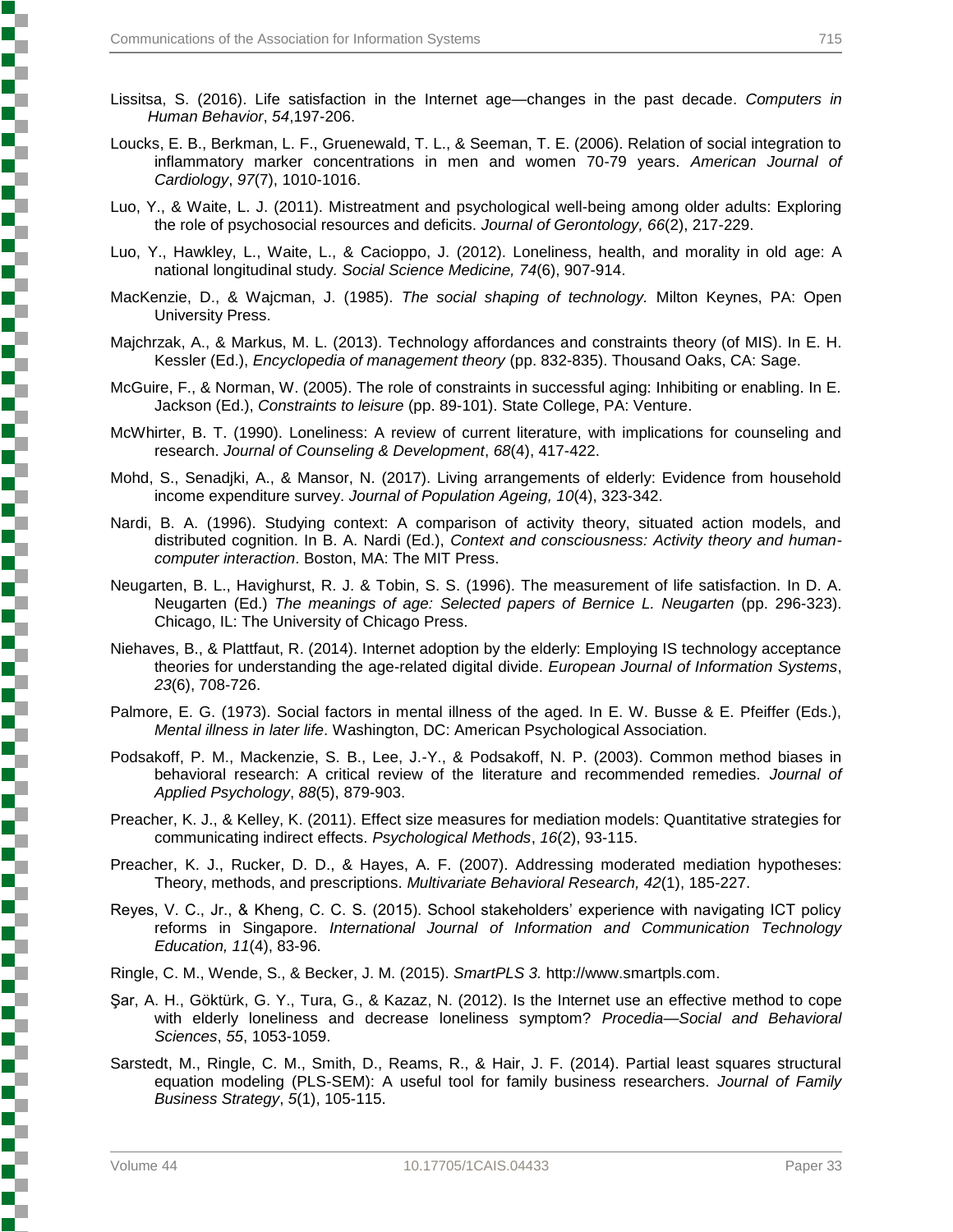- Lissitsa, S. (2016). Life satisfaction in the Internet age—changes in the past decade. *Computers in Human Behavior*, *54*,197-206.
- Loucks, E. B., Berkman, L. F., Gruenewald, T. L., & Seeman, T. E. (2006). Relation of social integration to inflammatory marker concentrations in men and women 70-79 years. *American Journal of Cardiology*, *97*(7), 1010-1016.
- Luo, Y., & Waite, L. J. (2011). Mistreatment and psychological well-being among older adults: Exploring the role of psychosocial resources and deficits. *Journal of Gerontology, 66*(2), 217-229.
- Luo, Y., Hawkley, L., Waite, L., & Cacioppo, J. (2012). Loneliness, health, and morality in old age: A national longitudinal study*. Social Science Medicine, 74*(6), 907-914.
- MacKenzie, D., & Wajcman, J. (1985). *The social shaping of technology.* Milton Keynes, PA: Open University Press.
- Majchrzak, A., & Markus, M. L. (2013). Technology affordances and constraints theory (of MIS). In E. H. Kessler (Ed.), *Encyclopedia of management theory* (pp. 832-835). Thousand Oaks, CA: Sage.
- McGuire, F., & Norman, W. (2005). The role of constraints in successful aging: Inhibiting or enabling. In E. Jackson (Ed.), *Constraints to leisure* (pp. 89-101). State College, PA: Venture.
- McWhirter, B. T. (1990). Loneliness: A review of current literature, with implications for counseling and research. *Journal of Counseling & Development*, *68*(4), 417-422.
- Mohd, S., Senadjki, A., & Mansor, N. (2017). Living arrangements of elderly: Evidence from household income expenditure survey. *Journal of Population Ageing, 10*(4), 323-342.
- Nardi, B. A. (1996). Studying context: A comparison of activity theory, situated action models, and distributed cognition. In B. A. Nardi (Ed.), *Context and consciousness: Activity theory and humancomputer interaction*. Boston, MA: The MIT Press.
- Neugarten, B. L., Havighurst, R. J. & Tobin, S. S. (1996). The measurement of life satisfaction. In D. A. Neugarten (Ed.) *The meanings of age: Selected papers of Bernice L. Neugarten* (pp. 296-323). Chicago, IL: The University of Chicago Press.
- Niehaves, B., & Plattfaut, R. (2014). Internet adoption by the elderly: Employing IS technology acceptance theories for understanding the age-related digital divide. *European Journal of Information Systems*, *23*(6), 708-726.
- Palmore, E. G. (1973). Social factors in mental illness of the aged. In E. W. Busse & E. Pfeiffer (Eds.), *Mental illness in later life*. Washington, DC: American Psychological Association.
- Podsakoff, P. M., Mackenzie, S. B., Lee, J.-Y., & Podsakoff, N. P. (2003). Common method biases in behavioral research: A critical review of the literature and recommended remedies. *Journal of Applied Psychology*, *88*(5), 879-903.
- Preacher, K. J., & Kelley, K. (2011). Effect size measures for mediation models: Quantitative strategies for communicating indirect effects. *Psychological Methods*, *16*(2), 93-115.
- Preacher, K. J., Rucker, D. D., & Hayes, A. F. (2007). Addressing moderated mediation hypotheses: Theory, methods, and prescriptions. *Multivariate Behavioral Research, 42*(1), 185-227.
- Reyes, V. C., Jr., & Kheng, C. C. S. (2015). School stakeholders' experience with navigating ICT policy reforms in Singapore. *International Journal of Information and Communication Technology Education, 11*(4), 83-96.
- Ringle, C. M., Wende, S., & Becker, J. M. (2015). *SmartPLS 3.* http://www.smartpls.com.
- Şar, A. H., Göktürk, G. Y., Tura, G., & Kazaz, N. (2012). Is the Internet use an effective method to cope with elderly loneliness and decrease loneliness symptom? *Procedia—Social and Behavioral Sciences*, *55*, 1053-1059.
- Sarstedt, M., Ringle, C. M., Smith, D., Reams, R., & Hair, J. F. (2014). Partial least squares structural equation modeling (PLS-SEM): A useful tool for family business researchers. *Journal of Family Business Strategy*, *5*(1), 105-115.

しょうこう こうこうこう こうこうこう こうこうこう こうこうこうこう こうこうこうこう こうこうこう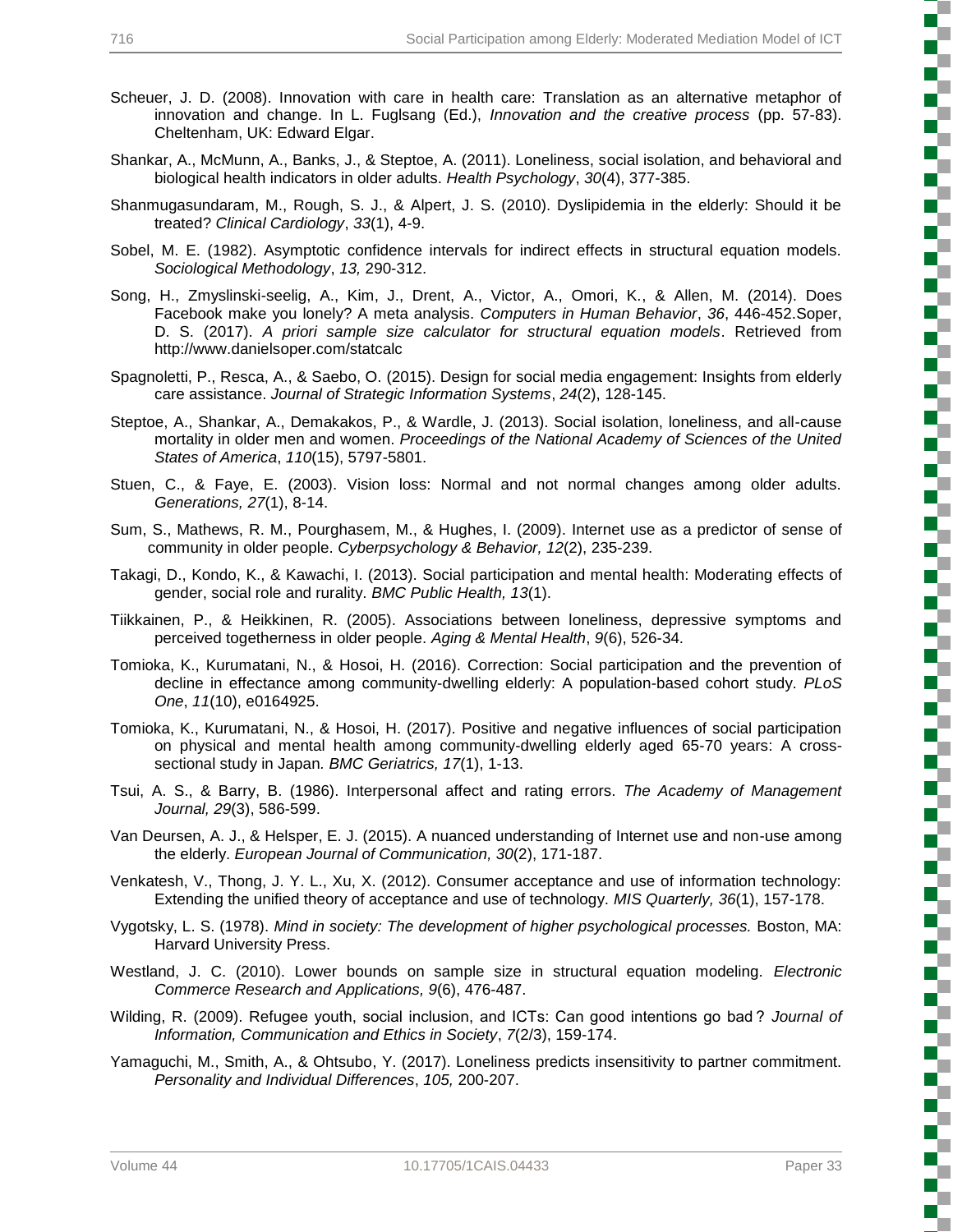- Scheuer, J. D. (2008). Innovation with care in health care: Translation as an alternative metaphor of innovation and change. In L. Fuglsang (Ed.), *Innovation and the creative process* (pp. 57-83). Cheltenham, UK: Edward Elgar.
- Shankar, A., McMunn, A., Banks, J., & Steptoe, A. (2011). Loneliness, social isolation, and behavioral and biological health indicators in older adults. *Health Psychology*, *30*(4), 377-385.
- Shanmugasundaram, M., Rough, S. J., & Alpert, J. S. (2010). Dyslipidemia in the elderly: Should it be treated? *Clinical Cardiology*, *33*(1), 4-9.
- Sobel, M. E. (1982). Asymptotic confidence intervals for indirect effects in structural equation models. *Sociological Methodology*, *13,* 290-312.
- Song, H., Zmyslinski-seelig, A., Kim, J., Drent, A., Victor, A., Omori, K., & Allen, M. (2014). Does Facebook make you lonely? A meta analysis. *Computers in Human Behavior*, *36*, 446-452.Soper, D. S. (2017). *A priori sample size calculator for structural equation models*. Retrieved from http://www.danielsoper.com/statcalc
- Spagnoletti, P., Resca, A., & Saebo, O. (2015). Design for social media engagement: Insights from elderly care assistance. *Journal of Strategic Information Systems*, *24*(2), 128-145.
- Steptoe, A., Shankar, A., Demakakos, P., & Wardle, J. (2013). Social isolation, loneliness, and all-cause mortality in older men and women. *Proceedings of the National Academy of Sciences of the United States of America*, *110*(15), 5797-5801.
- Stuen, C., & Faye, E. (2003). Vision loss: Normal and not normal changes among older adults. *Generations, 27*(1), 8-14.
- Sum, S., Mathews, R. M., Pourghasem, M., & Hughes, I. (2009). Internet use as a predictor of sense of community in older people. *Cyberpsychology & Behavior, 12*(2), 235-239.
- Takagi, D., Kondo, K., & Kawachi, I. (2013). Social participation and mental health: Moderating effects of gender, social role and rurality. *BMC Public Health, 13*(1).
- Tiikkainen, P., & Heikkinen, R. (2005). Associations between loneliness, depressive symptoms and perceived togetherness in older people. *Aging & Mental Health*, *9*(6), 526-34.
- Tomioka, K., Kurumatani, N., & Hosoi, H. (2016). Correction: Social participation and the prevention of decline in effectance among community-dwelling elderly: A population-based cohort study. *PLoS One*, *11*(10), e0164925.
- Tomioka, K., Kurumatani, N., & Hosoi, H. (2017). Positive and negative influences of social participation on physical and mental health among community-dwelling elderly aged 65-70 years: A crosssectional study in Japan*. BMC Geriatrics, 17*(1), 1-13.
- Tsui, A. S., & Barry, B. (1986). Interpersonal affect and rating errors. *The Academy of Management Journal, 29*(3), 586-599.
- Van Deursen, A. J., & Helsper, E. J. (2015). A nuanced understanding of Internet use and non-use among the elderly. *European Journal of Communication, 30*(2), 171-187.
- Venkatesh, V., Thong, J. Y. L., Xu, X. (2012). Consumer acceptance and use of information technology: Extending the unified theory of acceptance and use of technology. *MIS Quarterly, 36*(1), 157-178.
- Vygotsky, L. S. (1978). *Mind in society: The development of higher psychological processes.* Boston, MA: Harvard University Press.
- Westland, J. C. (2010). Lower bounds on sample size in structural equation modeling. *Electronic Commerce Research and Applications, 9*(6), 476-487.
- Wilding, R. (2009). Refugee youth, social inclusion, and ICTs: Can good intentions go bad ? *Journal of Information, Communication and Ethics in Society*, *7*(2/3), 159-174.
- Yamaguchi, M., Smith, A., & Ohtsubo, Y. (2017). Loneliness predicts insensitivity to partner commitment. *Personality and Individual Differences*, *105,* 200-207.